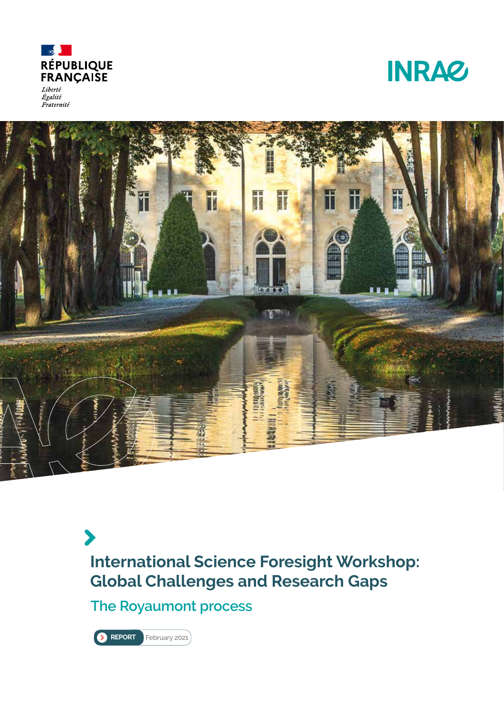

Liberté<br>Égalité Fraternité





**International Science Foresight Workshop: Global Challenges and Research Gaps**

**The Royaumont process**

**REPORT** February 2021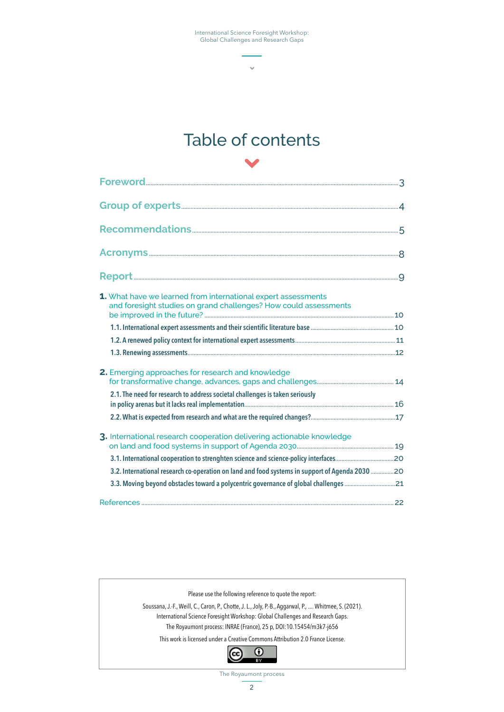$\ddot{\phantom{0}}$ 



| 1. What have we learned from international expert assessments<br>and foresight studies on grand challenges? How could assessments |  |
|-----------------------------------------------------------------------------------------------------------------------------------|--|
|                                                                                                                                   |  |
|                                                                                                                                   |  |
|                                                                                                                                   |  |
| 2. Emerging approaches for research and knowledge                                                                                 |  |
| 2.1. The need for research to address societal challenges is taken seriously                                                      |  |
|                                                                                                                                   |  |
| 3. International research cooperation delivering actionable knowledge                                                             |  |
|                                                                                                                                   |  |
| 3.2. International research co-operation on land and food systems in support of Agenda 2030 20                                    |  |
|                                                                                                                                   |  |
|                                                                                                                                   |  |



The Royaumont process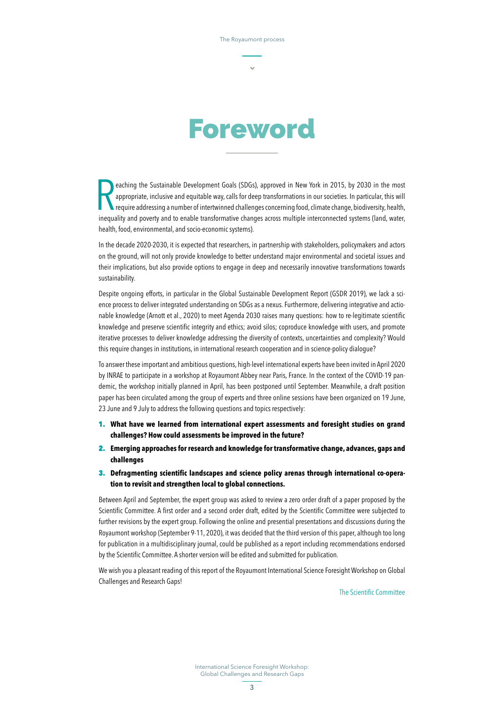

eaching the Sustainable Development Goals (SDGs), approved in New York in 2015, by 2030 in the most appropriate, inclusive and equitable way, calls for deep transformations in our societies. In particular, this will requir eaching the Sustainable Development Goals (SDGs), approved in New York in 2015, by 2030 in the most appropriate, inclusive and equitable way, calls for deep transformations in our societies. In particular, this will require addressing a number of intertwinned challenges concerning food, climate change, biodiversity, health, health, food, environmental, and socio-economic systems).

In the decade 2020-2030, it is expected that researchers, in partnership with stakeholders, policymakers and actors on the ground, will not only provide knowledge to better understand major environmental and societal issues and their implications, but also provide options to engage in deep and necessarily innovative transformations towards sustainability.

Despite ongoing efforts, in particular in the Global Sustainable Development Report (GSDR 2019), we lack a science process to deliver integrated understanding on SDGs as a nexus. Furthermore, delivering integrative and actionable knowledge (Arnott et al., 2020) to meet Agenda 2030 raises many questions: how to re-legitimate scientific knowledge and preserve scientific integrity and ethics; avoid silos; coproduce knowledge with users, and promote iterative processes to deliver knowledge addressing the diversity of contexts, uncertainties and complexity? Would this require changes in institutions, in international research cooperation and in science-policy dialogue?

To answer these important and ambitious questions, high-level international experts have been invited in April 2020 by INRAE to participate in a workshop at Royaumont Abbey near Paris, France. In the context of the COVID-19 pandemic, the workshop initially planned in April, has been postponed until September. Meanwhile, a draft position paper has been circulated among the group of experts and three online sessions have been organized on 19 June, 23 June and 9 July to address the following questions and topics respectively:

- 1. **What have we learned from international expert assessments and foresight studies on grand challenges? How could assessments be improved in the future?**
- 2. **Emerging approaches for research and knowledge for transformative change, advances, gaps and challenges**
- 3. **Defragmenting scientific landscapes and science policy arenas through international co-operation to revisit and strengthen local to global connections.**

Between April and September, the expert group was asked to review a zero order draft of a paper proposed by the Scientific Committee. A first order and a second order draft, edited by the Scientific Committee were subjected to further revisions by the expert group. Following the online and presential presentations and discussions during the Royaumont workshop (September 9-11, 2020), it was decided that the third version of this paper, although too long for publication in a multidisciplinary journal, could be published as a report including recommendations endorsed by the Scientific Committee. A shorter version will be edited and submitted for publication.

We wish you a pleasant reading of this report of the Royaumont International Science Foresight Workshop on Global Challenges and Research Gaps!

The Scientific Committee

International Science Foresight Workshop: Global Challenges and Research Gaps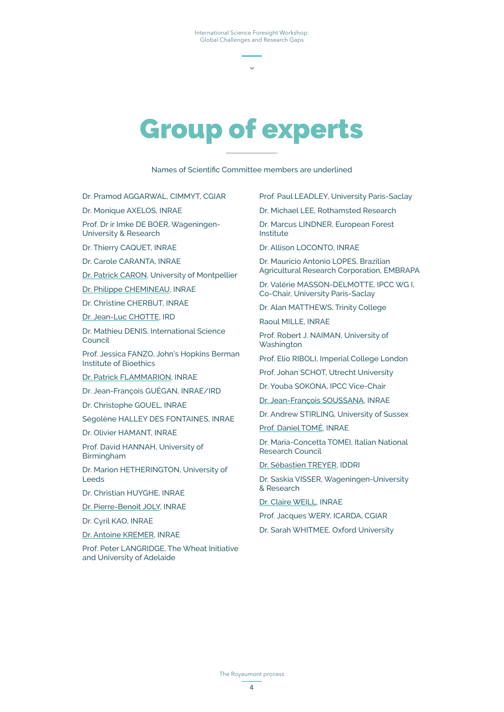# Group of experts

Names of Scientific Committee members are underlined

Dr. Pramod AGGARWAL, CIMMYT, CGIAR

Dr. Monique AXELOS, INRAE

Prof. Dr ir Imke DE BOER, Wageningen-University & Research

Dr. Thierry CAQUET, INRAE

Dr. Carole CARANTA, INRAE

Dr. Patrick CARON, University of Montpellier

Dr. Philippe CHEMINEAU, INRAE

Dr. Christine CHERBUT, INRAE

Dr. Jean-Luc CHOTTE, IRD

Dr. Mathieu DENIS, International Science Council

Prof. Jessica FANZO, John's Hopkins Berman Institute of Bioethics

Dr. Patrick FLAMMARION, INRAE

Dr. Jean-François GUÉGAN, INRAE/IRD

Dr. Christophe GOUEL, INRAE

Ségolène HALLEY DES FONTAINES, INRAE

Dr. Olivier HAMANT, INRAE

Prof. David HANNAH, University of Birmingham

Dr. Marion HETHERINGTON, University of Leeds

Dr. Christian HUYGHE, INRAE

Dr. Pierre-Benoît JOLY, INRAE

Dr. Cyril KAO, INRAE

Dr. Antoine KREMER, INRAE

Prof. Peter LANGRIDGE, The Wheat Initiative and University of Adelaide

Prof. Paul LEADLEY, University Paris-Saclay

Dr. Michael LEE, Rothamsted Research

Dr. Marcus LINDNER, European Forest Institute

Dr. Allison LOCONTO, INRAE

Dr. Mauricio Antonio LOPES, Brazilian Agricultural Research Corporation, EMBRAPA

Dr. Valérie MASSON-DELMOTTE, IPCC WG I, Co-Chair, University Paris-Saclay

Dr. Alan MATTHEWS, Trinity College

Raoul MILLE, INRAE

Prof. Robert J. NAIMAN, University of **Washington** 

Prof. Elio RIBOLI, Imperial College London

Prof. Johan SCHOT, Utrecht University

Dr. Youba SOKONA, IPCC Vice-Chair

Dr. Jean-François SOUSSANA, INRAE

Dr. Andrew STIRLING, University of Sussex

Prof. Daniel TOMÉ, INRAE

Dr. Maria-Concetta TOMEI, Italian National Research Council

Dr. Sébastien TREYER, IDDRI

Dr. Saskia VISSER, Wageningen-University & Research

Dr. Claire WEILL, INRAE

Prof. Jacques WERY, ICARDA, CGIAR

Dr. Sarah WHITMEE, Oxford University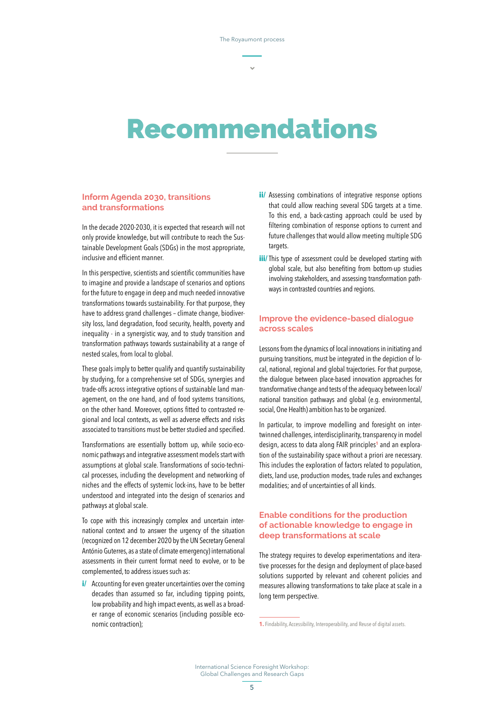## Recommendations

## **Inform Agenda 2030, transitions and transformations**

In the decade 2020-2030, it is expected that research will not only provide knowledge, but will contribute to reach the Sustainable Development Goals (SDGs) in the most appropriate, inclusive and efficient manner.

In this perspective, scientists and scientific communities have to imagine and provide a landscape of scenarios and options for the future to engage in deep and much needed innovative transformations towards sustainability. For that purpose, they have to address grand challenges – climate change, biodiversity loss, land degradation, food security, health, poverty and inequality - in a synergistic way, and to study transition and transformation pathways towards sustainability at a range of nested scales, from local to global.

These goals imply to better qualify and quantify sustainability by studying, for a comprehensive set of SDGs, synergies and trade-offs across integrative options of sustainable land management, on the one hand, and of food systems transitions, on the other hand. Moreover, options fitted to contrasted regional and local contexts, as well as adverse effects and risks associated to transitions must be better studied and specified.

Transformations are essentially bottom up, while socio-economic pathways and integrative assessment models start with assumptions at global scale. Transformations of socio-technical processes, including the development and networking of niches and the effects of systemic lock-ins, have to be better understood and integrated into the design of scenarios and pathways at global scale.

To cope with this increasingly complex and uncertain international context and to answer the urgency of the situation (recognized on 12 december 2020 by the UN Secretary General António Guterres, as a state of climate emergency) international assessments in their current format need to evolve, or to be complemented, to address issues such as:

*i/* Accounting for even greater uncertainties over the coming decades than assumed so far, including tipping points, low probability and high impact events, as well as a broader range of economic scenarios (including possible economic contraction);

- **ii/** Assessing combinations of integrative response options that could allow reaching several SDG targets at a time. To this end, a back-casting approach could be used by filtering combination of response options to current and future challenges that would allow meeting multiple SDG targets.
- **iii**/This type of assessment could be developed starting with global scale, but also benefiting from bottom-up studies involving stakeholders, and assessing transformation pathways in contrasted countries and regions.

## **Improve the evidence-based dialogue across scales**

Lessons from the dynamics of local innovations in initiating and pursuing transitions, must be integrated in the depiction of local, national, regional and global trajectories. For that purpose, the dialogue between place-based innovation approaches for transformative change and tests of the adequacy between local/ national transition pathways and global (e.g. environmental, social, One Health) ambition has to be organized.

In particular, to improve modelling and foresight on intertwinned challenges, interdisciplinarity, transparency in model design, access to data along FAIR principles<sup>1</sup> and an exploration of the sustainability space without a priori are necessary. This includes the exploration of factors related to population, diets, land use, production modes, trade rules and exchanges modalities; and of uncertainties of all kinds.

## **Enable conditions for the production of actionable knowledge to engage in deep transformations at scale**

The strategy requires to develop experimentations and iterative processes for the design and deployment of place-based solutions supported by relevant and coherent policies and measures allowing transformations to take place at scale in a long term perspective.

**<sup>1.</sup>** Findability, Accessibility, Interoperability, and Reuse of digital assets.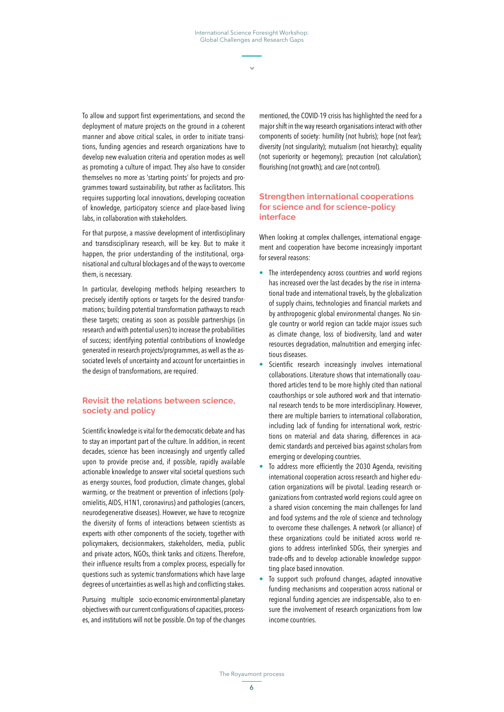To allow and support first experimentations, and second the deployment of mature projects on the ground in a coherent manner and above critical scales, in order to initiate transitions, funding agencies and research organizations have to develop new evaluation criteria and operation modes as well as promoting a culture of impact. They also have to consider themselves no more as 'starting points' for projects and programmes toward sustainability, but rather as facilitators. This requires supporting local innovations, developing cocreation of knowledge, participatory science and place-based living labs, in collaboration with stakeholders.

For that purpose, a massive development of interdisciplinary and transdisciplinary research, will be key. But to make it happen, the prior understanding of the institutional, organisational and cultural blockages and of the ways to overcome them, is necessary.

In particular, developing methods helping researchers to precisely identify options or targets for the desired transformations; building potential transformation pathways to reach these targets; creating as soon as possible partnerships (in research and with potential users) to increase the probabilities of success; identifying potential contributions of knowledge generated in research projects/programmes, as well as the associated levels of uncertainty and account for uncertainties in the design of transformations, are required.

## **Revisit the relations between science, society and policy**

Scientific knowledge is vital for the democratic debate and has to stay an important part of the culture. In addition, in recent decades, science has been increasingly and urgently called upon to provide precise and, if possible, rapidly available actionable knowledge to answer vital societal questions such as energy sources, food production, climate changes, global warming, or the treatment or prevention of infections (polyomielitis, AIDS, H1N1, coronavirus) and pathologies (cancers, neurodegenerative diseases). However, we have to recognize the diversity of forms of interactions between scientists as experts with other components of the society, together with policymakers, decisionmakers, stakeholders, media, public and private actors, NGOs, think tanks and citizens. Therefore, their influence results from a complex process, especially for questions such as systemic transformations which have large degrees of uncertainties as well as high and conflicting stakes.

Pursuing multiple socio-economic-environmental-planetary objectives with our current configurations of capacities, processes, and institutions will not be possible. On top of the changes

mentioned, the COVID-19 crisis has highlighted the need for a major shift in the way research organisations interact with other components of society: humility (not hubris); hope (not fear); diversity (not singularity); mutualism (not hierarchy); equality (not superiority or hegemony); precaution (not calculation); flourishing (not growth); and care (not control).

## **Strengthen international cooperations for science and for science-policy interface**

When looking at complex challenges, international engagement and cooperation have become increasingly important for several reasons:

- **•** The interdependency across countries and world regions has increased over the last decades by the rise in international trade and international travels, by the globalization of supply chains, technologies and financial markets and by anthropogenic global environmental changes. No single country or world region can tackle major issues such as climate change, loss of biodiversity, land and water resources degradation, malnutrition and emerging infectious diseases.
- **•** Scientific research increasingly involves international collaborations. Literature shows that internationally coauthored articles tend to be more highly cited than national coauthorships or sole authored work and that international research tends to be more interdisciplinary. However, there are multiple barriers to international collaboration, including lack of funding for international work, restrictions on material and data sharing, differences in academic standards and perceived bias against scholars from emerging or developing countries.
- **•** To address more efficiently the 2030 Agenda, revisiting international cooperation across research and higher education organizations will be pivotal. Leading research organizations from contrasted world regions could agree on a shared vision concerning the main challenges for land and food systems and the role of science and technology to overcome these challenges. A network (or alliance) of these organizations could be initiated across world regions to address interlinked SDGs, their synergies and trade-offs and to develop actionable knowledge supporting place based innovation.
- **•** To support such profound changes, adapted innovative funding mechanisms and cooperation across national or regional funding agencies are indispensable, also to ensure the involvement of research organizations from low income countries.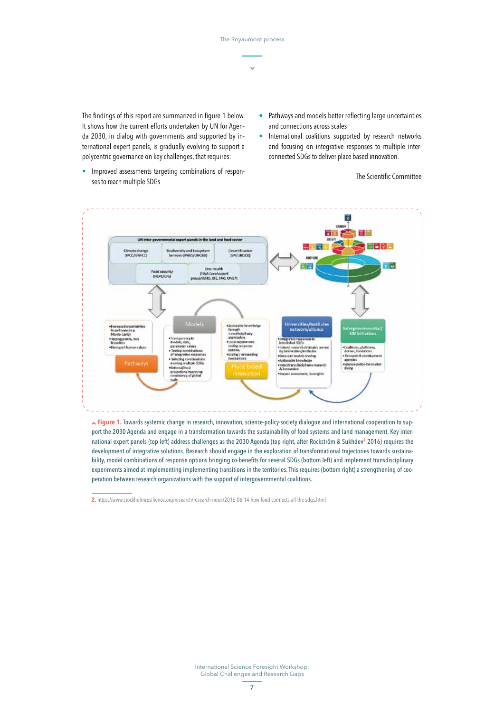The findings of this report are summarized in figure 1 below. It shows how the current efforts undertaken by UN for Agenda 2030, in dialog with governments and supported by international expert panels, is gradually evolving to support a polycentric governance on key challenges, that requires:

- **•** Pathways and models better reflecting large uncertainties and connections across scales
- **•** International coalitions supported by research networks and focusing on integrative responses to multiple interconnected SDGs to deliver place based innovation.

**•** Improved assessments targeting combinations of responses to reach multiple SDGs

The Scientific Committee



 **Figure 1.** Towards systemic change in research, innovation, science-policy-society dialogue and international cooperation to support the 2030 Agenda and engage in a transformation towards the sustainability of food systems and land management. Key international expert panels (top left) address challenges as the 2030 Agenda (top right, after Rockström & Sukhdev<sup>2</sup> 2016) requires the development of integrative solutions. Research should engage in the exploration of transformational trajectories towards sustainability, model combinations of response options bringing co-benefits for several SDGs (bottom left) and implement transdisciplinary experiments aimed at implementing implementing transitions in the territories. This requires (bottom right) a strengthening of cooperation between research organizations with the support of intergovernmental coalitions.

**2.**<https://www.stockholmresilience.org/research/research-news/2016-06-14-how-food-connects-all-the-sdgs.html>

International Science Foresight Workshop: Global Challenges and Research Gaps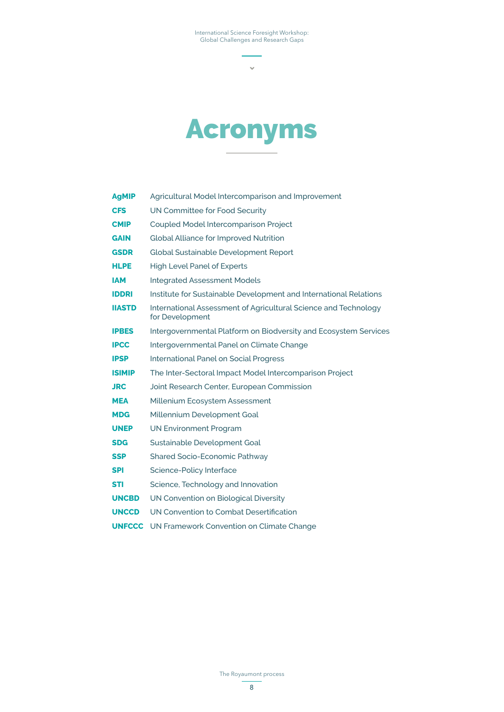$\bar{\mathbf{v}}$ 



| <b>AgMIP</b>  | Agricultural Model Intercomparison and Improvement                                 |
|---------------|------------------------------------------------------------------------------------|
| <b>CFS</b>    | UN Committee for Food Security                                                     |
| <b>CMIP</b>   | Coupled Model Intercomparison Project                                              |
| <b>GAIN</b>   | <b>Global Alliance for Improved Nutrition</b>                                      |
| <b>GSDR</b>   | Global Sustainable Development Report                                              |
| <b>HLPE</b>   | <b>High Level Panel of Experts</b>                                                 |
| <b>IAM</b>    | <b>Integrated Assessment Models</b>                                                |
| <b>IDDRI</b>  | Institute for Sustainable Development and International Relations                  |
| <b>IIASTD</b> | International Assessment of Agricultural Science and Technology<br>for Development |
| <b>IPBES</b>  | Intergovernmental Platform on Biodversity and Ecosystem Services                   |
| <b>IPCC</b>   | Intergovernmental Panel on Climate Change                                          |
| <b>IPSP</b>   | <b>International Panel on Social Progress</b>                                      |
| <b>ISIMIP</b> | The Inter-Sectoral Impact Model Intercomparison Project                            |
| <b>JRC</b>    | Joint Research Center, European Commission                                         |
| <b>MEA</b>    | Millenium Ecosystem Assessment                                                     |
| <b>MDG</b>    | Millennium Development Goal                                                        |
| <b>UNEP</b>   | <b>UN Environment Program</b>                                                      |
| <b>SDG</b>    | Sustainable Development Goal                                                       |
| SSP           | Shared Socio-Economic Pathway                                                      |
| SPI           | Science-Policy Interface                                                           |
| STI           | Science, Technology and Innovation                                                 |
| <b>UNCBD</b>  | UN Convention on Biological Diversity                                              |
| <b>UNCCD</b>  | UN Convention to Combat Desertification                                            |
| <b>UNFCCC</b> | UN Framework Convention on Climate Change                                          |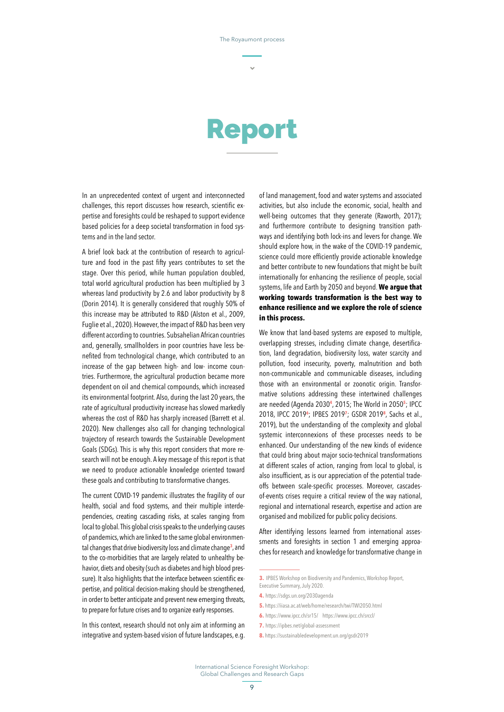## Report

In an unprecedented context of urgent and interconnected challenges, this report discusses how research, scientific expertise and foresights could be reshaped to support evidence based policies for a deep societal transformation in food systems and in the land sector.

A brief look back at the contribution of research to agriculture and food in the past fifty years contributes to set the stage. Over this period, while human population doubled, total world agricultural production has been multiplied by 3 whereas land productivity by 2.6 and labor productivity by 8 (Dorin 2014). It is generally considered that roughly 50% of this increase may be attributed to R&D (Alston et al., 2009, Fuglie et al., 2020). However, the impact of R&D has been very different according to countries. Subsahelian African countries and, generally, smallholders in poor countries have less benefited from technological change, which contributed to an increase of the gap between high- and low- income countries. Furthermore, the agricultural production became more dependent on oil and chemical compounds, which increased its environmental footprint. Also, during the last 20 years, the rate of agricultural productivity increase has slowed markedly whereas the cost of R&D has sharply increased (Barrett et al. 2020). New challenges also call for changing technological trajectory of research towards the Sustainable Development Goals (SDGs). This is why this report considers that more research will not be enough. A key message of this report is that we need to produce actionable knowledge oriented toward these goals and contributing to transformative changes.

The current COVID-19 pandemic illustrates the fragility of our health, social and food systems, and their multiple interdependencies, creating cascading risks, at scales ranging from local to global. This global crisis speaks to the underlying causes of pandemics, which are linked to the same global environmental changes that drive biodiversity loss and climate change**<sup>3</sup>** , and to the co-morbidities that are largely related to unhealthy behavior, diets and obesity (such as diabetes and high blood pressure). It also highlights that the interface between scientific expertise, and political decision-making should be strengthened, in order to better anticipate and prevent new emerging threats, to prepare for future crises and to organize early responses.

In this context, research should not only aim at informing an integrative and system-based vision of future landscapes, e.g. of land management, food and water systems and associated activities, but also include the economic, social, health and well-being outcomes that they generate (Raworth, 2017); and furthermore contribute to designing transition pathways and identifying both lock-ins and levers for change. We should explore how, in the wake of the COVID-19 pandemic, science could more efficiently provide actionable knowledge and better contribute to new foundations that might be built internationally for enhancing the resilience of people, social systems, life and Earth by 2050 and beyond. **We argue that working towards transformation is the best way to enhance resilience and we explore the role of science in this process.**

We know that land-based systems are exposed to multiple, overlapping stresses, including climate change, desertification, land degradation, biodiversity loss, water scarcity and pollution, food insecurity, poverty, malnutrition and both non-communicable and communicable diseases, including those with an environmental or zoonotic origin. Transformative solutions addressing these intertwined challenges are needed (Agenda 2030**<sup>4</sup>** , 2015; The World in 2050**<sup>5</sup>** ; IPCC 2018, IPCC 2019**<sup>6</sup>** ; IPBES 2019**<sup>7</sup>** ; GSDR 2019**<sup>8</sup>** , Sachs et al., 2019), but the understanding of the complexity and global systemic interconnexions of these processes needs to be enhanced. Our understanding of the new kinds of evidence that could bring about major socio-technical transformations at different scales of action, ranging from local to global, is also insufficient, as is our appreciation of the potential tradeoffs between scale-specific processes. Moreover, cascadesof-events crises require a critical review of the way national, regional and international research, expertise and action are organised and mobilized for public policy decisions.

After identifying lessons learned from international assessments and foresights in section 1 and emerging approaches for research and knowledge for transformative change in

- **4.** <https://sdgs.un.org/2030agenda>
- **5.**<https://iiasa.ac.at/web/home/research/twi/TWI2050.html>
- **6.** <https://www.ipcc.ch/sr15/><https://www.ipcc.ch/srccl/>
- **7.** <https://ipbes.net/global-assessment>
- **8.**<https://sustainabledevelopment.un.org/gsdr2019>

**<sup>3.</sup>** IPBES Workshop on Biodiversity and Pandemics, Workshop Report, Executive Summary, July 2020.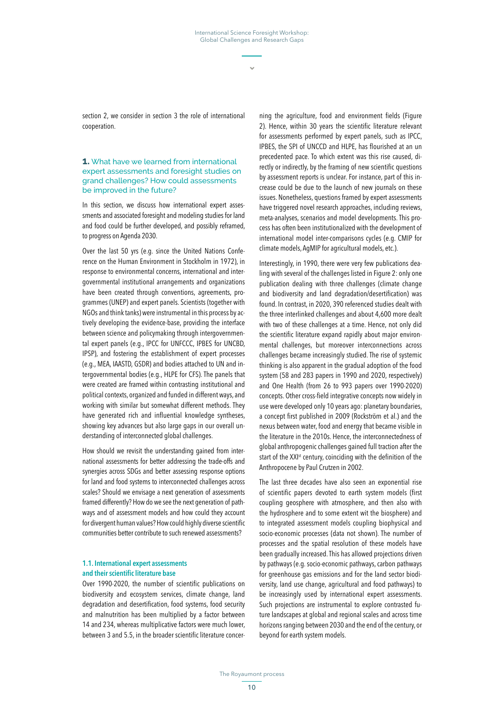section 2, we consider in section 3 the role of international cooperation.

#### **1.** What have we learned from international expert assessments and foresight studies on grand challenges? How could assessments be improved in the future?

In this section, we discuss how international expert assessments and associated foresight and modeling studies for land and food could be further developed, and possibly reframed, to progress on Agenda 2030.

Over the last 50 yrs (e.g. since the United Nations Conference on the Human Environment in Stockholm in 1972), in response to environmental concerns, international and intergovernmental institutional arrangements and organizations have been created through conventions, agreements, programmes (UNEP) and expert panels. Scientists (together with NGOs and think tanks) were instrumental in this process by actively developing the evidence-base, providing the interface between science and policymaking through intergovernmental expert panels (e.g., IPCC for UNFCCC, IPBES for UNCBD, IPSP), and fostering the establishment of expert processes (e.g., MEA, IAASTD, GSDR) and bodies attached to UN and intergovernmental bodies (e.g., HLPE for CFS). The panels that were created are framed within contrasting institutional and political contexts, organized and funded in different ways, and working with similar but somewhat different methods. They have generated rich and influential knowledge syntheses. showing key advances but also large gaps in our overall understanding of interconnected global challenges.

How should we revisit the understanding gained from international assessments for better addressing the trade-offs and synergies across SDGs and better assessing response options for land and food systems to interconnected challenges across scales? Should we envisage a next generation of assessments framed differently? How do we see the next generation of pathways and of assessment models and how could they account for divergent human values? How could highly diverse scientific communities better contribute to such renewed assessments?

### 1.1. International expert assessments and their scientific literature base

Over 1990-2020, the number of scientific publications on biodiversity and ecosystem services, climate change, land degradation and desertification, food systems, food security and malnutrition has been multiplied by a factor between 14 and 234, whereas multiplicative factors were much lower, between 3 and 5.5, in the broader scientific literature concer-

ning the agriculture, food and environment fields (Figure 2). Hence, within 30 years the scientific literature relevant for assessments performed by expert panels, such as IPCC, IPBES, the SPI of UNCCD and HLPE, has flourished at an un precedented pace. To which extent was this rise caused, directly or indirectly, by the framing of new scientific questions by assessment reports is unclear. For instance, part of this increase could be due to the launch of new journals on these issues. Nonetheless, questions framed by expert assessments have triggered novel research approaches, including reviews, meta-analyses, scenarios and model developments. This process has often been institutionalized with the development of international model inter-comparisons cycles (e.g. CMIP for climate models, AgMIP for agricultural models, etc.).

Interestingly, in 1990, there were very few publications dealing with several of the challenges listed in Figure 2: only one publication dealing with three challenges (climate change and biodiversity and land degradation/desertification) was found. In contrast, in 2020, 390 referenced studies dealt with the three interlinked challenges and about 4,600 more dealt with two of these challenges at a time. Hence, not only did the scientific literature expand rapidly about major environmental challenges, but moreover interconnections across challenges became increasingly studied. The rise of systemic thinking is also apparent in the gradual adoption of the food system (58 and 283 papers in 1990 and 2020, respectively) and One Health (from 26 to 993 papers over 1990-2020) concepts. Other cross-field integrative concepts now widely in use were developed only 10 years ago: planetary boundaries, a concept first published in 2009 (Rockström et al.) and the nexus between water, food and energy that became visible in the literature in the 2010s. Hence, the interconnectedness of global anthropogenic challenges gained full traction after the start of the XXI<sup>st</sup> century, coinciding with the definition of the Anthropocene by Paul Crutzen in 2002.

The last three decades have also seen an exponential rise of scientific papers devoted to earth system models (first coupling geosphere with atmosphere, and then also with the hydrosphere and to some extent wit the biosphere) and to integrated assessment models coupling biophysical and socio-economic processes (data not shown). The number of processes and the spatial resolution of these models have been gradually increased. This has allowed projections driven by pathways (e.g. socio-economic pathways, carbon pathways for greenhouse gas emissions and for the land sector biodiversity, land use change, agricultural and food pathways) to be increasingly used by international expert assessments. Such projections are instrumental to explore contrasted future landscapes at global and regional scales and across time horizons ranging between 2030 and the end of the century, or beyond for earth system models.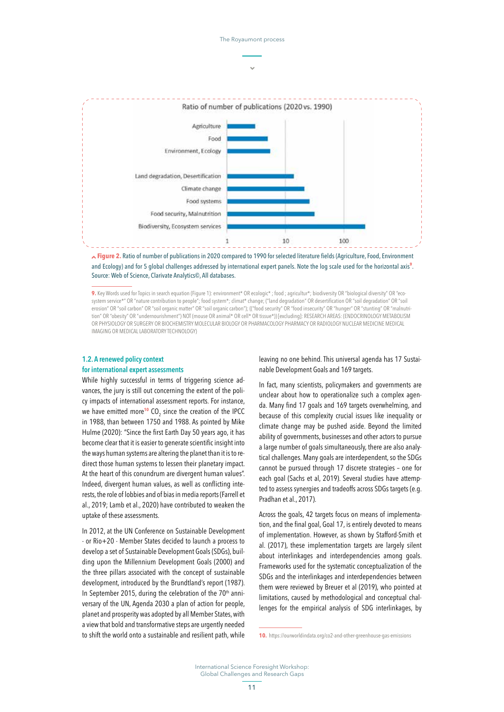

The Royaumont process

 **Figure 2.** Ratio of number of publications in 2020 compared to 1990 for selected literature fields (Agriculture, Food, Environment and Ecology) and for 5 global challenges addressed by international expert panels. Note the log scale used for the horizontal axis**<sup>9</sup>** . Source: Web of Science, Clarivate Analytics©, All databases.

**9.** Key Words used for Topics in search equation (Figure 1): environment\* OR ecologic\* ; food ; agricultur\*; biodiversity OR "biological diversity" OR "ecosystem service\*" OR "nature contribution to people"; food system\*; climat\* change; ("land degradation" OR desertification OR "soil degradation" OR "soil erosion" OR "soil carbon" OR "soil organic matter" OR "soil organic carbon"); (("food security" OR "food insecurity" OR "hunger" OR "stunting" OR "malnutrition" OR "obesity" OR "undernourishment") NOT (mouse OR animal\* OR cell\* OR tissue\*)) [excluding]: RESEARCH AREAS: (ENDOCRINOLOGY METABOLISM OR PHYSIOLOGY OR SURGERY OR BIOCHEMISTRY MOLECULAR BIOLOGY OR PHARMACOLOGY PHARMACY OR RADIOLOGY NUCLEAR MEDICINE MEDICAL IMAGING OR MEDICAL LABORATORY TECHNOLOGY)

## 1.2. A renewed policy context for international expert assessments

While highly successful in terms of triggering science advances, the jury is still out concerning the extent of the policy impacts of international assessment reports. For instance, we have emitted more<sup>10</sup> CO<sub>2</sub> since the creation of the IPCC in 1988, than between 1750 and 1988. As pointed by Mike Hulme (2020): "Since the first Earth Day 50 years ago, it has become clear that it is easier to generate scientific insight into the ways human systems are altering the planet than it is to redirect those human systems to lessen their planetary impact. At the heart of this conundrum are divergent human values". Indeed, divergent human values, as well as conflicting interests, the role of lobbies and of bias in media reports (Farrell et al., 2019; Lamb et al., 2020) have contributed to weaken the uptake of these assessments.

In 2012, at the UN Conference on Sustainable Development - or Rio+20 - Member States decided to launch a process to develop a set of Sustainable Development Goals (SDGs), building upon the Millennium Development Goals (2000) and the three pillars associated with the concept of sustainable development, introduced by the Brundtland's report (1987). In September 2015, during the celebration of the  $70<sup>th</sup>$  anniversary of the UN, Agenda 2030 a plan of action for people, planet and prosperity was adopted by all Member States, with a view that bold and transformative steps are urgently needed to shift the world onto a sustainable and resilient path, while

leaving no one behind. This universal agenda has 17 Sustainable Development Goals and 169 targets.

In fact, many scientists, policymakers and governments are unclear about how to operationalize such a complex agenda. Many find 17 goals and 169 targets overwhelming, and because of this complexity crucial issues like inequality or climate change may be pushed aside. Beyond the limited ability of governments, businesses and other actors to pursue a large number of goals simultaneously, there are also analytical challenges. Many goals are interdependent, so the SDGs cannot be pursued through 17 discrete strategies – one for each goal (Sachs et al, 2019). Several studies have attempted to assess synergies and tradeoffs across SDGs targets (e.g. Pradhan et al., 2017).

Across the goals, 42 targets focus on means of implementation, and the final goal, Goal 17, is entirely devoted to means of implementation. However, as shown by Stafford-Smith et al. (2017), these implementation targets are largely silent about interlinkages and interdependencies among goals. Frameworks used for the systematic conceptualization of the SDGs and the interlinkages and interdependencies between them were reviewed by Breuer et al (2019), who pointed at limitations, caused by methodological and conceptual challenges for the empirical analysis of SDG interlinkages, by

**<sup>10.</sup>** <https://ourworldindata.org/co2-and-other-greenhouse-gas-emissions>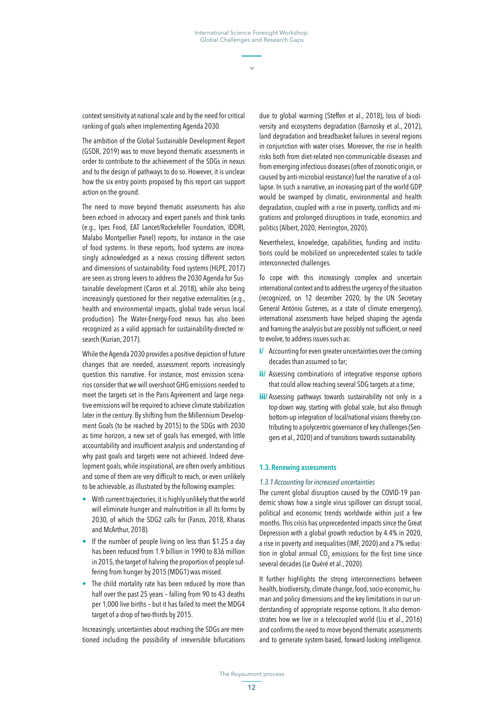context sensitivity at national scale and by the need for critical ranking of goals when implementing Agenda 2030.

The ambition of the Global Sustainable Development Report (GSDR, 2019) was to move beyond thematic assessments in order to contribute to the achievement of the SDGs in nexus and to the design of pathways to do so. However, it is unclear how the six entry points proposed by this report can support action on the ground.

The need to move beyond thematic assessments has also been echoed in advocacy and expert panels and think tanks (e.g., Ipes Food, EAT Lancet/Rockefeller Foundation, IDDRI, Malabo Montpellier Panel) reports, for instance in the case of food systems. In these reports, food systems are increasingly acknowledged as a nexus crossing different sectors and dimensions of sustainability. Food systems (HLPE, 2017) are seen as strong levers to address the 2030 Agenda for Sustainable development (Caron et al. 2018), while also being increasingly questioned for their negative externalities (e.g., health and environmental impacts, global trade versus local production). The Water-Energy-Food nexus has also been recognized as a valid approach for sustainability-directed research (Kurian, 2017).

While the Agenda 2030 provides a positive depiction of future changes that are needed, assessment reports increasingly question this narrative. For instance, most emission scenarios consider that we will overshoot GHG emissions needed to meet the targets set in the Paris Agreement and large negative emissions will be required to achieve climate stabilization later in the century. By shifting from the Millennium Development Goals (to be reached by 2015) to the SDGs with 2030 as time horizon, a new set of goals has emerged, with little accountability and insufficient analysis and understanding of why past goals and targets were not achieved. Indeed development goals, while inspirational, are often overly ambitious and some of them are very difficult to reach, or even unlikely to be achievable, as illustrated by the following examples:

- **•** With current trajectories, it is highly unlikely that the world will eliminate hunger and malnutrition in all its forms by 2030, of which the SDG2 calls for (Fanzo, 2018, Kharas and McArthur, 2018).
- **•** If the number of people living on less than \$1.25 a day has been reduced from 1.9 billion in 1990 to 836 million in 2015, the target of halving the proportion of people suffering from hunger by 2015 (MDG1) was missed.
- **•** The child mortality rate has been reduced by more than half over the past 25 years – falling from 90 to 43 deaths per 1,000 live births – but it has failed to meet the MDG4 target of a drop of two-thirds by 2015.

Increasingly, uncertainties about reaching the SDGs are mentioned including the possibility of irreversible bifurcations

due to global warming (Steffen et al., 2018), loss of biodiversity and ecosystems degradation (Barnosky et al., 2012), land degradation and breadbasket failures in several regions in conjunction with water crises. Moreover, the rise in health risks both from diet-related non-communicable diseases and from emerging infectious diseases (often of zoonotic origin, or caused by anti-microbial resistance) fuel the narrative of a collapse. In such a narrative, an increasing part of the world GDP would be swamped by climatic, environmental and health degradation, coupled with a rise in poverty, conflicts and migrations and prolonged disruptions in trade, economics and politics (Albert, 2020; Herrington, 2020).

Nevertheless, knowledge, capabilities, funding and institutions could be mobilized on unprecedented scales to tackle interconnected challenges.

To cope with this increasingly complex and uncertain international context and to address the urgency of the situation (recognized, on 12 december 2020, by the UN Secretary General António Guterres, as a state of climate emergency), international assessments have helped shaping the agenda and framing the analysis but are possibly not sufficient, or need to evolve, to address issues such as:

- *i*/ Accounting for even greater uncertainties over the coming decades than assumed so far;
- **ii/** Assessing combinations of integrative response options that could allow reaching several SDG targets at a time;
- **iii/** Assessing pathways towards sustainability not only in a top-down way, starting with global scale, but also through bottom-up integration of local/national visions thereby contributing to a polycentric governance of key challenges (Sengers et al., 2020) and of transitions towards sustainability.

#### 1.3. Renewing assessments

#### *1.3.1 Accounting for increased uncertainties*

The current global disruption caused by the COVID-19 pandemic shows how a single virus spillover can disrupt social, political and economic trends worldwide within just a few months. This crisis has unprecedented impacts since the Great Depression with a global growth reduction by 4.4% in 2020, a rise in poverty and inequalities (IMF, 2020) and a 7% reduction in global annual  $\mathrm{CO}_2$  emissions for the first time since several decades (Le Quéré et al., 2020).

It further highlights the strong interconnections between health, biodiversity, climate change, food, socio-economic, human and policy dimensions and the key limitations in our understanding of appropriate response options. It also demonstrates how we live in a telecoupled world (Liu et al., 2016) and confirms the need to move beyond thematic assessments and to generate system-based, forward-looking intelligence.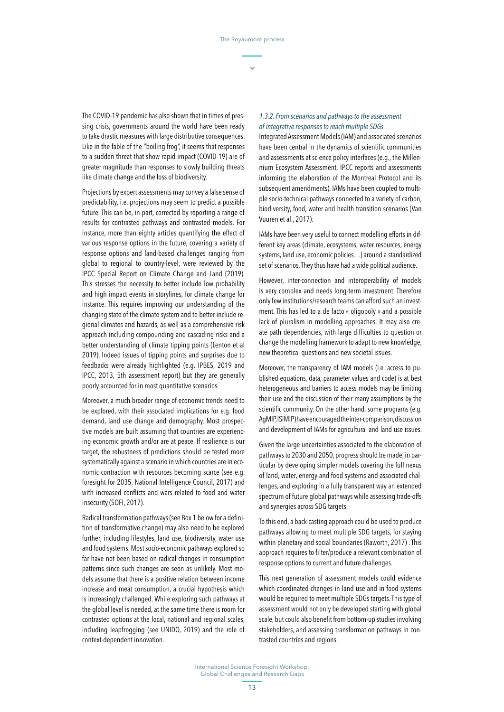The COVID-19 pandemic has also shown that in times of pressing crisis, governments around the world have been ready to take drastic measures with large distributive consequences. Like in the fable of the "boiling frog", it seems that responses to a sudden threat that show rapid impact (COVID-19) are of greater magnitude than responses to slowly building threats like climate change and the loss of biodiversity.

Projections by expert assessments may convey a false sense of predictability, i.e. projections may seem to predict a possible future. This can be, in part, corrected by reporting a range of results for contrasted pathways and contrasted models. For instance, more than eighty articles quantifying the effect of various response options in the future, covering a variety of response options and land-based challenges ranging from global to regional to country-level, were reviewed by the IPCC Special Report on Climate Change and Land (2019). This stresses the necessity to better include low probability and high impact events in storylines, for climate change for instance. This requires improving our understanding of the changing state of the climate system and to better include regional climates and hazards, as well as a comprehensive risk approach including compounding and cascading risks and a better understanding of climate tipping points (Lenton et al 2019). Indeed issues of tipping points and surprises due to feedbacks were already highlighted (e.g. IPBES, 2019 and IPCC, 2013, 5th assessment report) but they are generally poorly accounted for in most quantitative scenarios.

Moreover, a much broader range of economic trends need to be explored, with their associated implications for e.g. food demand, land use change and demography. Most prospective models are built assuming that countries are experiencing economic growth and/or are at peace. If resilience is our target, the robustness of predictions should be tested more systematically against a scenario in which countries are in economic contraction with resources becoming scarce (see e.g. foresight for 2035, National Intelligence Council, 2017) and with increased conflicts and wars related to food and water insecurity (SOFI, 2017).

Radical transformation pathways (see Box 1 below for a definition of transformative change) may also need to be explored further, including lifestyles, land use, biodiversity, water use and food systems. Most socio-economic pathways explored so far have not been based on radical changes in consumption patterns since such changes are seen as unlikely. Most models assume that there is a positive relation between income increase and meat consumption, a crucial hypothesis which is increasingly challenged. While exploring such pathways at the global level is needed, at the same time there is room for contrasted options at the local, national and regional scales, including leapfrogging (see UNIDO, 2019) and the role of context-dependent innovation.

#### *1.3.2. From scenarios and pathways to the assessment of integrative responses to reach multiple SDGs*

Integrated Assessment Models (IAM) and associated scenarios have been central in the dynamics of scientific communities and assessments at science policy interfaces (e.g., the Millennium Ecosystem Assessment, IPCC reports and assessments informing the elaboration of the Montreal Protocol and its subsequent amendments). IAMs have been coupled to multiple socio-technical pathways connected to a variety of carbon, biodiversity, food, water and health transition scenarios (Van Vuuren et al., 2017).

IAMs have been very useful to connect modelling efforts in different key areas (climate, ecosystems, water resources, energy systems, land use, economic policies…) around a standardized set of scenarios. They thus have had a wide political audience.

However, inter-connection and interoperability of models is very complex and needs long-term investment. Therefore only few institutions/research teams can afford such an investment. This has led to a de facto « oligopoly » and a possible lack of pluralism in modelling approaches. It may also create path dependencies, with large difficulties to question or change the modelling framework to adapt to new knowledge, new theoretical questions and new societal issues.

Moreover, the transparency of IAM models (i.e. access to published equations, data, parameter values and code) is at best heterogeneous and barriers to access models may be limiting their use and the discussion of their many assumptions by the scientific community. On the other hand, some programs (e.g. AgMIP, ISIMIP) have encouraged the inter-comparison, discussion and development of IAMs for agricultural and land use issues.

Given the large uncertainties associated to the elaboration of pathways to 2030 and 2050, progress should be made, in particular by developing simpler models covering the full nexus of land, water, energy and food systems and associated challenges, and exploring in a fully transparent way an extended spectrum of future global pathways while assessing trade-offs and synergies across SDG targets.

To this end, a back-casting approach could be used to produce pathways allowing to meet multiple SDG targets, for staying within planetary and social boundaries (Raworth, 2017) . This approach requires to filter/produce a relevant combination of response options to current and future challenges.

This next generation of assessment models could evidence which coordinated changes in land use and in food systems would be required to meet multiple SDGs targets. This type of assessment would not only be developed starting with global scale, but could also benefit from bottom-up studies involving stakeholders, and assessing transformation pathways in contrasted countries and regions.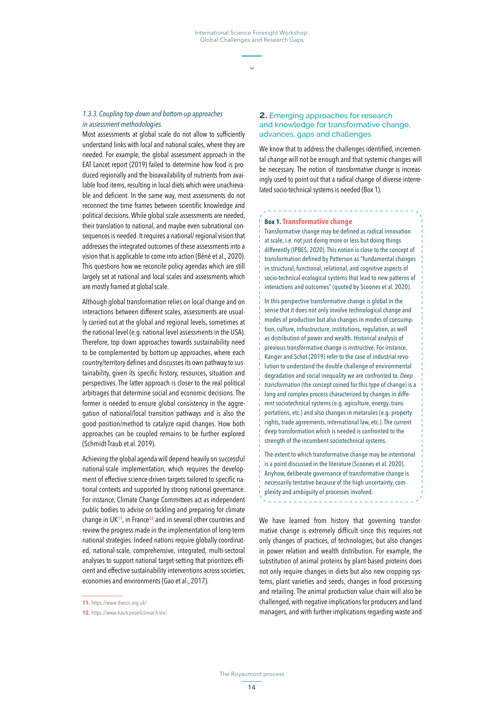#### *1.3.3. Coupling top-down and bottom-up approaches in assessment methodologies*

Most assessments at global scale do not allow to sufficiently understand links with local and national scales, where they are needed. For example, the global assessment approach in the EAT Lancet report (2019) failed to determine how food is produced regionally and the bioavailability of nutrients from available food items, resulting in local diets which were unachievable and deficient. In the same way, most assessments do not reconnect the time frames between scientific knowledge and political decisions. While global scale assessments are needed, their translation to national, and maybe even subnational consequences is needed. It requires a national/ regional vision that addresses the integrated outcomes of these assessments into a vision that is applicable to come into action (Béné et al., 2020). This questions how we reconcile policy agendas which are still largely set at national and local scales and assessments which are mostly framed at global scale.

Although global transformation relies on local change and on interactions between different scales, assessments are usually carried out at the global and regional levels, sometimes at the national level (e.g. national level assessments in the USA). Therefore, top down approaches towards sustainability need to be complemented by bottom-up approaches, where each country/territory defines and discusses its own pathway to sustainability, given its specific history, resources, situation and perspectives. The latter approach is closer to the real political arbitrages that determine social and economic decisions. The former is needed to ensure global consistency in the aggregation of national/local transition pathways and is also the good position/method to catalyze rapid changes. How both approaches can be coupled remains to be further explored (Schmidt-Traub et al. 2019).

Achieving the global agenda will depend heavily on successful national-scale implementation, which requires the development of effective science-driven targets tailored to specific national contexts and supported by strong national governance. For instance, Climate Change Committees act as independent public bodies to advise on tackling and preparing for climate change in UK**<sup>11</sup>**, in France**<sup>12</sup>** and in several other countries and review the progress made in the implementation of long-term national strategies. Indeed nations require globally coordinated, national-scale, comprehensive, integrated, multi-sectoral analyses to support national target-setting that prioritizes efficient and effective sustainability interventions across societies, economies and environments (Gao et al., 2017).

#### **2.** Emerging approaches for research and knowledge for transformative change, advances, gaps and challenges

We know that to address the challenges identified, incremental change will not be enough and that systemic changes will be necessary. The notion of *transformative change* is increasingly used to point out that a radical change of diverse interrelated socio-technical systems is needed (Box 1).

#### **Box 1. Transformative change**

Transformative change may be defined as radical innovation at scale, i.e. not just doing more or less but doing things differently (IPBES, 2020). This notion is close to the concept of transformation defined by Patterson as "fundamental changes in structural, functional, relational, and cognitive aspects of socio-technical-ecological systems that lead to new patterns of interactions and outcomes" (quoted by Scoones et al. 2020).

In this perspective transformative change is global in the sense that it does not only involve technological change and modes of production but also changes in modes of consumption, culture, infrastructure, institutions, regulation, as well as distribution of power and wealth. Historical analysis of previous transformative change is instructive. For instance, Kanger and Schot (2019) refer to the case of industrial revolution to understand the double challenge of environmental degradation and social inequality we are confronted to. *Deep transformation* (the concept coined for this type of change) is a long and complex process characterized by changes in different sociotechnical systems (e.g. agiculture, energy, transportations, etc.) and also changes in metarules (e.g. property rights, trade agreements, international law, etc.). The current deep transformation which is needed is confronted to the strength of the incumbent sociotechnical systems.

The extent to which transformative change may be intentional is a point discussed in the literature (Scoones et al. 2020). Anyhow, deliberate governance of transformative change is necessarily tentative because of the high uncertainty, complexity and ambiguity of processes involved.

We have learned from history that governing transformative change is extremely difficult since this requires not only changes of practices, of technologies, but also changes in power relation and wealth distribution. For example, the substitution of animal proteins by plant-based proteins does not only require changes in diets but also new cropping systems, plant varieties and seeds, changes in food processing and retailing. The animal production value chain will also be challenged, with negative implications for producers and land managers, and with further implications regarding waste and

**<sup>11.</sup>** <https://www.theccc.org.uk/>

**<sup>12.</sup>** <https://www.hautconseilclimat.fr/en/>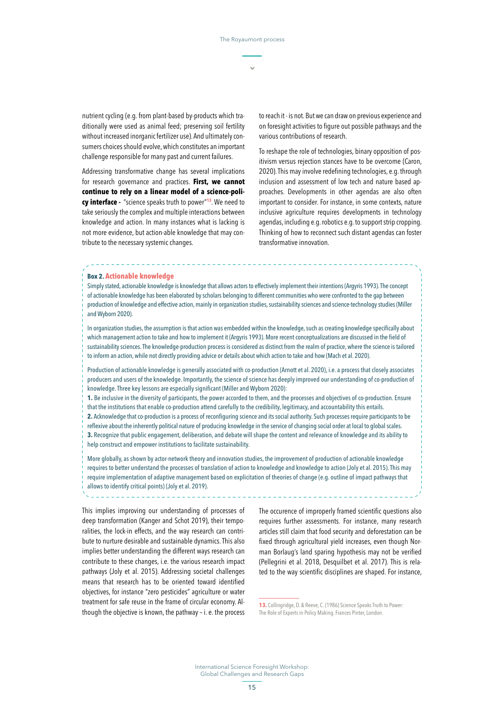nutrient cycling (e.g. from plant-based by-products which traditionally were used as animal feed; preserving soil fertility without increased inorganic fertilizer use). And ultimately consumers choices should evolve, which constitutes an important challenge responsible for many past and current failures.

Addressing transformative change has several implications for research governance and practices. **First, we cannot continue to rely on a linear model of a science-policy interface -** "science speaks truth to power"**<sup>13</sup>**. We need to take seriously the complex and multiple interactions between knowledge and action. In many instances what is lacking is not more evidence, but action-able knowledge that may contribute to the necessary systemic changes.

to reach it - is not. But we can draw on previous experience and on foresight activities to figure out possible pathways and the various contributions of research.

To reshape the role of technologies, binary opposition of positivism versus rejection stances have to be overcome (Caron, 2020). This may involve redefining technologies, e.g. through inclusion and assessment of low tech and nature based approaches. Developments in other agendas are also often important to consider. For instance, in some contexts, nature inclusive agriculture requires developments in technology agendas, including e.g. robotics e.g. to support strip cropping. Thinking of how to reconnect such distant agendas can foster transformative innovation.

#### **Box 2. Actionable knowledge**

Simply stated, actionable knowledge is knowledge that allows actors to effectively implement their intentions (Argyris 1993). The concept of actionable knowledge has been elaborated by scholars belonging to different communities who were confronted to the gap between production of knowledge and effective action, mainly in organization studies, sustainability sciences and science-technology studies (Miller and Wyborn 2020).

In organization studies, the assumption is that action was embedded within the knowledge, such as creating knowledge specifically about which management action to take and how to implement it (Argyris 1993). More recent conceptualizations are discussed in the field of sustainability sciences. The knowledge-production process is considered as distinct from the realm of practice, where the science is tailored to inform an action, while not directly providing advice or details about which action to take and how (Mach et al. 2020).

Production of actionable knowledge is generally associated with co-production (Arnott et al. 2020), i.e. a process that closely associates producers and users of the knowledge. Importantly, the science of science has deeply improved our understanding of co-production of knowledge. Three key lessons are especially significant (Miller and Wyborn 2020):

**1.** Be inclusive in the diversity of participants, the power accorded to them, and the processes and objectives of co-production. Ensure that the institutions that enable co-production attend carefully to the credibility, legitimacy, and accountability this entails.

**2.** Acknowledge that co-production is a process of reconfiguring science and its social authority. Such processes require participants to be reflexive about the inherently political nature of producing knowledge in the service of changing social order at local to global scales. **3.** Recognize that public engagement, deliberation, and debate will shape the content and relevance of knowledge and its ability to help construct and empower institutions to facilitate sustainability.

More globally, as shown by actor-network theory and innovation studies, the improvement of production of actionable knowledge requires to better understand the processes of translation of action to knowledge and knowledge to action (Joly et al. 2015). This may require implementation of adaptive management based on explicitation of theories of change (e.g. outline of impact pathways that allows to identify critical points) (Joly et al. 2019).

This implies improving our understanding of processes of deep transformation (Kanger and Schot 2019), their temporalities, the lock-in effects, and the way research can contribute to nurture desirable and sustainable dynamics. This also implies better understanding the different ways research can contribute to these changes, i.e. the various research impact pathways (Joly et al. 2015). Addressing societal challenges means that research has to be oriented toward identified objectives, for instance "zero pesticides" agriculture or water treatment for safe reuse in the frame of circular economy. Although the objective is known, the pathway – i. e. the process

The occurence of improperly framed scientific questions also requires further assessments. For instance, many research articles still claim that food security and deforestation can be fixed through agricultural yield increases, even though Norman Borlaug's land sparing hypothesis may not be verified (Pellegrini et al. 2018, Desquilbet et al. 2017). This is related to the way scientific disciplines are shaped. For instance,

**<sup>13.</sup>** Collingridge, D. & Reeve, C. (1986) Science Speaks Truth to Power: The Role of Experts in Policy Making. Frances Pinter, London.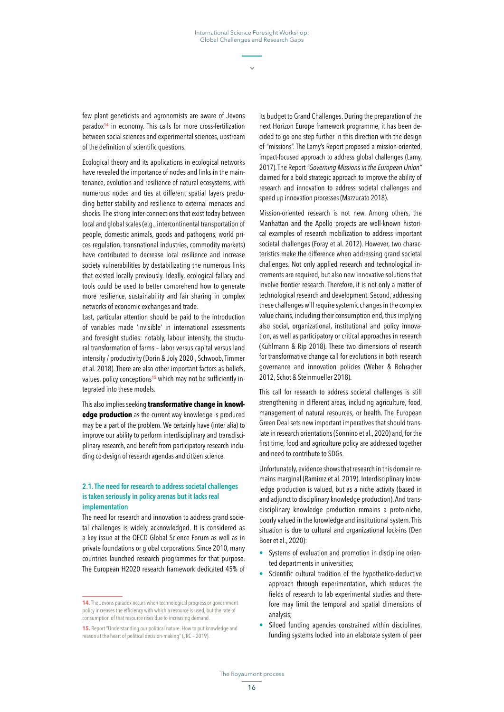few plant geneticists and agronomists are aware of Jevons paradox**<sup>14</sup>** in economy. This calls for more cross-fertilization between social sciences and experimental sciences, upstream of the definition of scientific questions.

Ecological theory and its applications in ecological networks have revealed the importance of nodes and links in the maintenance, evolution and resilience of natural ecosystems, with numerous nodes and ties at different spatial layers precluding better stability and resilience to external menaces and shocks. The strong inter-connections that exist today between local and global scales (e.g., intercontinental transportation of people, domestic animals, goods and pathogens, world prices regulation, transnational industries, commodity markets) have contributed to decrease local resilience and increase society vulnerabilities by destabilizating the numerous links that existed locally previously. Ideally, ecological fallacy and tools could be used to better comprehend how to generate more resilience, sustainability and fair sharing in complex networks of economic exchanges and trade.

Last, particular attention should be paid to the introduction of variables made 'invisible' in international assessments and foresight studies: notably, labour intensity, the structural transformation of farms – labor versus capital versus land intensity / productivity (Dorin & Joly 2020 , Schwoob, Timmer et al. 2018). There are also other important factors as beliefs, values, policy conceptions**15** which may not be sufficiently integrated into these models.

This also implies seeking **transformative change in knowledge production** as the current way knowledge is produced may be a part of the problem. We certainly have (inter alia) to improve our ability to perform interdisciplinary and transdisciplinary research, and benefit from participatory research including co-design of research agendas and citizen science.

## 2.1. The need for research to address societal challenges is taken seriously in policy arenas but it lacks real implementation

The need for research and innovation to address grand societal challenges is widely acknowledged. It is considered as a key issue at the OECD Global Science Forum as well as in private foundations or global corporations. Since 2010, many countries launched research programmes for that purpose. The European H2020 research framework dedicated 45% of

its budget to Grand Challenges. During the preparation of the next Horizon Europe framework programme, it has been decided to go one step further in this direction with the design of "missions". The Lamy's Report proposed a mission-oriented, impact-focused approach to address global challenges (Lamy, 2017). The Report *"Governing Missions in the European Union"* claimed for a bold strategic approach to improve the ability of research and innovation to address societal challenges and speed up innovation processes (Mazzucato 2018).

Mission-oriented research is not new. Among others, the Manhattan and the Apollo projects are well-known historical examples of research mobilization to address important societal challenges (Foray et al. 2012). However, two characteristics make the difference when addressing grand societal challenges. Not only applied research and technological increments are required, but also new innovative solutions that involve frontier research. Therefore, it is not only a matter of technological research and development. Second, addressing these challenges will require systemic changes in the complex value chains, including their consumption end, thus implying also social, organizational, institutional and policy innovation, as well as participatory or critical approaches in research (Kuhlmann & Rip 2018). These two dimensions of research for transformative change call for evolutions in both research governance and innovation policies (Weber & Rohracher 2012, Schot & Steinmueller 2018).

This call for research to address societal challenges is still strengthening in different areas, including agriculture, food, management of natural resources, or health. The European Green Deal sets new important imperatives that should translate in research orientations (Sonnino et al., 2020) and, for the first time, food and agriculture policy are addressed together and need to contribute to SDGs.

Unfortunately, evidence shows that research in this domain remains marginal (Ramirez et al. 2019). Interdisciplinary knowledge production is valued, but as a niche activity (based in and adjunct to disciplinary knowledge production). And transdisciplinary knowledge production remains a proto-niche, poorly valued in the knowledge and institutional system. This situation is due to cultural and organizational lock-ins (Den Boer et al., 2020):

- **•** Systems of evaluation and promotion in discipline oriented departments in universities;
- **•** Scientific cultural tradition of the hypothetico-deductive approach through experimentation, which reduces the fields of research to lab experimental studies and therefore may limit the temporal and spatial dimensions of analysis;
- **•** Siloed funding agencies constrained within disciplines, funding systems locked into an elaborate system of peer

**<sup>14.</sup>** The Jevons paradox occurs when technological progress or government policy increases the efficiency with which a resource is used, but the rate of consumption of that resource rises due to increasing demand.

**<sup>15.</sup>** Report "Understanding our political nature. How to put knowledge and reason at the heart of political decision-making" (JRC – 2019).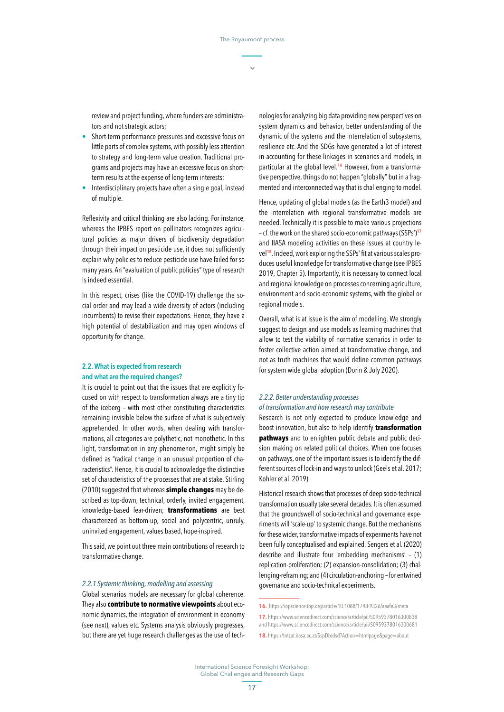review and project funding, where funders are administrators and not strategic actors;

- **•** Short-term performance pressures and excessive focus on little parts of complex systems, with possibly less attention to strategy and long-term value creation. Traditional programs and projects may have an excessive focus on shortterm results at the expense of long-term interests;
- **•** Interdisciplinary projects have often a single goal, instead of multiple.

Reflexivity and critical thinking are also lacking. For instance, whereas the IPBES report on pollinators recognizes agricultural policies as major drivers of biodiversity degradation through their impact on pesticide use, it does not sufficiently explain why policies to reduce pesticide use have failed for so many years. An "evaluation of public policies" type of research is indeed essential.

In this respect, crises (like the COVID-19) challenge the social order and may lead a wide diversity of actors (including incumbents) to revise their expectations. Hence, they have a high potential of destabilization and may open windows of opportunity for change.

## 2.2. What is expected from research and what are the required changes?

It is crucial to point out that the issues that are explicitly focused on with respect to transformation always are a tiny tip of the iceberg – with most other constituting characteristics remaining invisible below the surface of what is subjectively apprehended. In other words, when dealing with transformations, all categories are polythetic, not monothetic. In this light, transformation in any phenomenon, might simply be defined as "radical change in an unusual proportion of characteristics". Hence, it is crucial to acknowledge the distinctive set of characteristics of the processes that are at stake. Stirling (2010) suggested that whereas **simple changes** may be described as top-down, technical, orderly, invited engagement, knowledge-based fear-driven; **transformations** are best characterized as bottom-up, social and polycentric, unruly, uninvited engagement, values based, hope-inspired.

This said, we point out three main contributions of research to transformative change.

#### *2.2.1 Systemic thinking, modelling and assessing*

Global scenarios models are necessary for global coherence. They also **contribute to normative viewpoints** about economic dynamics, the integration of environment in economy (see next), values etc. Systems analysis obviously progresses, but there are yet huge research challenges as the use of tech-

nologies for analyzing big data providing new perspectives on system dynamics and behavior, better understanding of the dynamic of the systems and the interrelation of subsystems, resilience etc. And the SDGs have generated a lot of interest in accounting for these linkages in scenarios and models, in particular at the global level.**16** However, from a transformative perspective, things do not happen "globally" but in a fragmented and interconnected way that is challenging to model.

Hence, updating of global models (as the Earth3 model) and the interrelation with regional transformative models are needed. Technically it is possible to make various projections – cf. the work on the shared socio-economic pathways (SSPs')**<sup>17</sup>** and IIASA modeling activities on these issues at country level**18**. Indeed, work exploring the SSPs' fit at various scales produces useful knowledge for transformative change (see IPBES 2019, Chapter 5). Importantly, it is necessary to connect local and regional knowledge on processes concerning agriculture, environment and socio-economic systems, with the global or regional models.

Overall, what is at issue is the aim of modelling. We strongly suggest to design and use models as learning machines that allow to test the viability of normative scenarios in order to foster collective action aimed at transformative change, and not as truth machines that would define common pathways for system wide global adoption (Dorin & Joly 2020).

#### *2.2.2. Better understanding processes of transformation and how research may contribute*

Research is not only expected to produce knowledge and boost innovation, but also to help identify **transformation pathways** and to enlighten public debate and public decision making on related political choices. When one focuses on pathways, one of the important issues is to identify the different sources of lock-in and ways to unlock (Geels et al. 2017; Kohler et al. 2019).

Historical research shows that processes of deep socio-technical transformation usually take several decades. It is often assumed that the groundswell of socio-technical and governance experiments will 'scale-up' to systemic change. But the mechanisms for these wider, transformative impacts of experiments have not been fully conceptualised and explained. Sengers et al. (2020) describe and illustrate four 'embedding mechanisms' – (1) replication-proliferation; (2) expansion-consolidation; (3) challenging-reframing; and (4) circulation-anchoring – for entwined governance and socio-technical experiments.

**<sup>16.</sup>** <https://iopscience.iop.org/article/10.1088/1748-9326/aaafe3/meta>

**<sup>17.</sup>** <https://www.sciencedirect.com/science/article/pii/S0959378016300838> and <https://www.sciencedirect.com/science/article/pii/S0959378016300681>

**<sup>18.</sup>** <https://tntcat.iiasa.ac.at/SspDb/dsd?Action=htmlpage&page=about>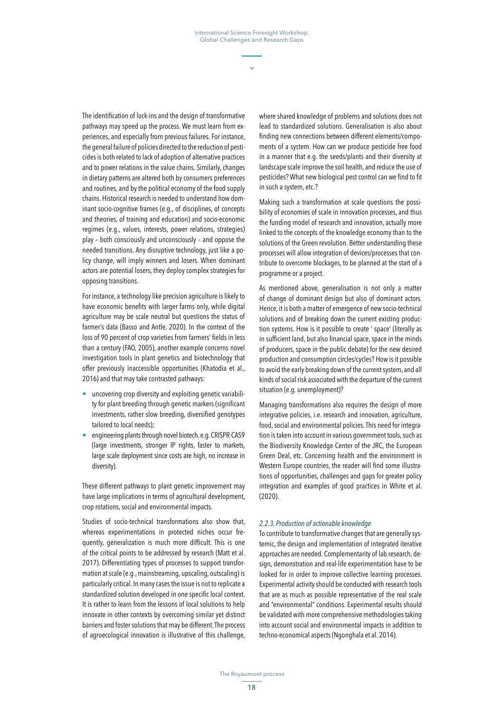The identification of lock-ins and the design of transformative pathways may speed up the process. We must learn from experiences, and especially from previous failures. For instance, the general failure of policies directed to the reduction of pesticides is both related to lack of adoption of alternative practices and to power relations in the value chains. Similarly, changes in dietary patterns are altered both by consumers preferences and routines, and by the political economy of the food supply chains. Historical research is needed to understand how dominant socio-cognitive frames (e.g., of disciplines, of concepts and theories, of training and education) and socio-economic regimes (e.g., values, interests, power relations, strategies) play – both consciously and unconsciously – and oppose the needed transitions. Any disruptive technology, just like a policy change, will imply winners and losers. When dominant actors are potential losers, they deploy complex strategies for opposing transitions.

For instance, a technology like precision agriculture is likely to have economic benefits with larger farms only, while digital agriculture may be scale neutral but questions the status of farmer's data (Basso and Antle, 2020). In the context of the loss of 90 percent of crop varieties from farmers' fields in less than a century (FAO, 2005), another example concerns novel investigation tools in plant genetics and biotechnology that offer previously inaccessible opportunities (Khatodia et al., 2016) and that may take contrasted pathways:

- **•** uncovering crop diversity and exploiting genetic variability for plant breeding through genetic markers (significant investments, rather slow breeding, diversified genotypes tailored to local needs);
- **•** engineering plants through novel biotech. e.g. CRISPR-CAS9 (large investments, stronger IP rights, faster to markets, large scale deployment since costs are high, no increase in diversity).

These different pathways to plant genetic improvement may have large implications in terms of agricultural development, crop rotations, social and environmental impacts.

Studies of socio-technical transformations also show that, whereas experimentations in protected niches occur frequently, generalization is much more difficult. This is one of the critical points to be addressed by research (Matt et al. 2017). Differentiating types of processes to support transformation at scale (e.g., mainstreaming, upscaling, outscaling) is particularly critical. In many cases the issue is not to replicate a standardized solution developed in one specific local context. It is rather to learn from the lessons of local solutions to help innovate in other contexts by overcoming similar yet distinct barriers and foster solutions that may be different. The process of agroecological innovation is illustrative of this challenge,

where shared knowledge of problems and solutions does not lead to standardized solutions. Generalisation is also about finding new connections between different elements/compoments of a system. How can we produce pesticide free food in a manner that e.g. the seeds/plants and their diversity at landscape scale improve the soil health, and reduce the use of pesticides? What new biological pest control can we find to fit in such a system, etc.?

Making such a transformation at scale questions the possibility of economies of scale in innovation processes, and thus the funding model of research and innovation, actually more linked to the concepts of the knowledge economy than to the solutions of the Green revolution. Better understanding these processes will allow integration of devices/processes that contribute to overcome blockages, to be planned at the start of a programme or a project.

As mentioned above, generalisation is not only a matter of change of dominant design but also of dominant actors. Hence, it is both a matter of emergence of new socio-technical solutions and of breaking down the current existing production systems. How is it possible to create ' space' (literally as in sufficient land, but also financial space, space in the minds of producers, space in the public debate) for the new desired production and consumption circles/cycles? How is it possible to avoid the early breaking down of the current system, and all kinds of social risk associated with the departure of the current situation (e.g. unemployment)?

Managing transformations also requires the design of more integrative policies, i.e. research and innovation, agriculture, food, social and environmental policies. This need for integration is taken into account in various government tools, such as the Biodiversity Knowledge Center of the JRC, the European Green Deal, etc. Concerning health and the environment in Western Europe countries, the reader will find some illustrations of opportunities, challenges and gaps for greater policy integration and examples of good practices in White et al. (2020).

#### *2.2.3. Production of actionable knowledge*

To contribute to transformative changes that are generally systemic, the design and implementation of integrated iterative approaches are needed. Complementarity of lab research, design, demonstration and real-life experimentation have to be looked for in order to improve collective learning processes. Experimental activity should be conducted with research tools that are as much as possible representative of the real scale and "environmental" conditions. Experimental results should be validated with more comprehensive methodologies taking into account social and environmental impacts in addition to techno-economical aspects (Ngonghala et al. 2014).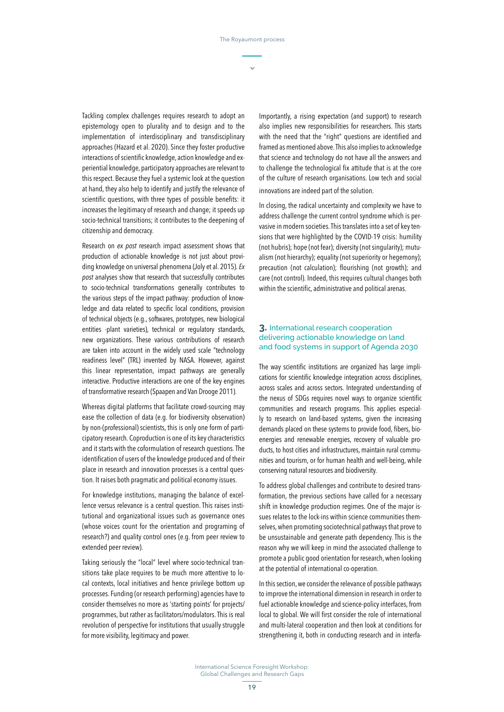Tackling complex challenges requires research to adopt an epistemology open to plurality and to design and to the implementation of interdisciplinary and transdisciplinary approaches (Hazard et al. 2020). Since they foster productive interactions of scientific knowledge, action knowledge and experiential knowledge, participatory approaches are relevant to this respect. Because they fuel a systemic look at the question at hand, they also help to identify and justify the relevance of scientific questions, with three types of possible benefits: it increases the legitimacy of research and change; it speeds up socio-technical transitions; it contributes to the deepening of citizenship and democracy.

Research on *ex post* research impact assessment shows that production of actionable knowledge is not just about providing knowledge on universal phenomena (Joly et al. 2015). *Ex post* analyses show that research that successfully contributes to socio-technical transformations generally contributes to the various steps of the impact pathway: production of knowledge and data related to specific local conditions, provision of technical objects (e.g., softwares, prototypes, new biological entities -plant varieties), technical or regulatory standards, new organizations. These various contributions of research are taken into account in the widely used scale "technology readiness level" (TRL) invented by NASA. However, against this linear representation, impact pathways are generally interactive. Productive interactions are one of the key engines of transformative research (Spaapen and Van Drooge 2011).

Whereas digital platforms that facilitate crowd-sourcing may ease the collection of data (e.g. for biodiversity observation) by non-(professional) scientists, this is only one form of participatory research. Coproduction is one of its key characteristics and it starts with the coformulation of research questions. The identification of users of the knowledge produced and of their place in research and innovation processes is a central question. It raises both pragmatic and political economy issues.

For knowledge institutions, managing the balance of excellence versus relevance is a central question. This raises institutional and organizational issues such as governance ones (whose voices count for the orientation and programing of research?) and quality control ones (e.g. from peer review to extended peer review).

Taking seriously the "local" level where socio-technical transitions take place requires to be much more attentive to local contexts, local initiatives and hence privilege bottom up processes. Funding (or research performing) agencies have to consider themselves no more as 'starting points' for projects/ programmes, but rather as facilitators/modulators. This is real revolution of perspective for institutions that usually struggle for more visibility, legitimacy and power.

Importantly, a rising expectation (and support) to research also implies new responsibilities for researchers. This starts with the need that the "right" questions are identified and framed as mentioned above. This also implies to acknowledge that science and technology do not have all the answers and to challenge the technological fix attitude that is at the core of the culture of research organisations. Low tech and social innovations are indeed part of the solution.

In closing, the radical uncertainty and complexity we have to address challenge the current control syndrome which is pervasive in modern societies. This translates into a set of key tensions that were highlighted by the COVID-19 crisis: humility (not hubris); hope (not fear); diversity (not singularity); mutualism (not hierarchy); equality (not superiority or hegemony); precaution (not calculation); flourishing (not growth); and care (not control). Indeed, this requires cultural changes both within the scientific, administrative and political arenas.

#### **3.** International research cooperation delivering actionable knowledge on land and food systems in support of Agenda 2030

The way scientific institutions are organized has large implications for scientific knowledge integration across disciplines, across scales and across sectors. Integrated understanding of the nexus of SDGs requires novel ways to organize scientific communities and research programs. This applies especially to research on land-based systems, given the increasing demands placed on these systems to provide food, fibers, bioenergies and renewable energies, recovery of valuable products, to host cities and infrastructures, maintain rural communities and tourism, or for human health and well-being, while conserving natural resources and biodiversity.

To address global challenges and contribute to desired transformation, the previous sections have called for a necessary shift in knowledge production regimes. One of the major issues relates to the lock-ins within science communities themselves, when promoting sociotechnical pathways that prove to be unsustainable and generate path dependency. This is the reason why we will keep in mind the associated challenge to promote a public good orientation for research, when looking at the potential of international co-operation.

In this section, we consider the relevance of possible pathways to improve the international dimension in research in order to fuel actionable knowledge and science-policy interfaces, from local to global. We will first consider the role of international and multi-lateral cooperation and then look at conditions for strengthening it, both in conducting research and in interfa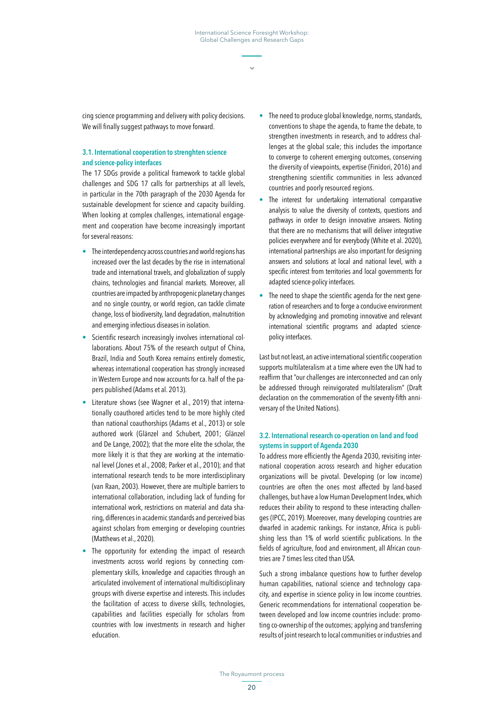cing science programming and delivery with policy decisions. We will finally suggest pathways to move forward.

## 3.1. International cooperation to strenghten science and science-policy interfaces

The 17 SDGs provide a political framework to tackle global challenges and SDG 17 calls for partnerships at all levels, in particular in the 70th paragraph of the 2030 Agenda for sustainable development for science and capacity building. When looking at complex challenges, international engagement and cooperation have become increasingly important for several reasons:

- **•** The interdependency across countries and world regions has increased over the last decades by the rise in international trade and international travels, and globalization of supply chains, technologies and financial markets. Moreover, all countries are impacted by anthropogenic planetary changes and no single country, or world region, can tackle climate change, loss of biodiversity, land degradation, malnutrition and emerging infectious diseases in isolation.
- **•** Scientific research increasingly involves international collaborations. About 75% of the research output of China, Brazil, India and South Korea remains entirely domestic, whereas international cooperation has strongly increased in Western Europe and now accounts for ca. half of the papers published (Adams et al. 2013).
- **•** Literature shows (see Wagner et al., 2019) that internationally coauthored articles tend to be more highly cited than national coauthorships (Adams et al., 2013) or sole authored work (Glänzel and Schubert, 2001; Glänzel and De Lange, 2002); that the more elite the scholar, the more likely it is that they are working at the international level (Jones et al., 2008; Parker et al., 2010); and that international research tends to be more interdisciplinary (van Raan, 2003). However, there are multiple barriers to international collaboration, including lack of funding for international work, restrictions on material and data sharing, differences in academic standards and perceived bias against scholars from emerging or developing countries (Matthews et al., 2020).
- The opportunity for extending the impact of research investments across world regions by connecting complementary skills, knowledge and capacities through an articulated involvement of international multidisciplinary groups with diverse expertise and interests. This includes the facilitation of access to diverse skills, technologies, capabilities and facilities especially for scholars from countries with low investments in research and higher education.
- **•** The need to produce global knowledge, norms, standards, conventions to shape the agenda, to frame the debate, to strengthen investments in research, and to address challenges at the global scale; this includes the importance to converge to coherent emerging outcomes, conserving the diversity of viewpoints, expertise (Finidori, 2016) and strengthening scientific communities in less advanced countries and poorly resourced regions.
- **•** The interest for undertaking international comparative analysis to value the diversity of contexts, questions and pathways in order to design innovative answers. Noting that there are no mechanisms that will deliver integrative policies everywhere and for everybody (White et al. 2020), international partnerships are also important for designing answers and solutions at local and national level, with a specific interest from territories and local governments for adapted science-policy interfaces.
- **•** The need to shape the scientific agenda for the next generation of researchers and to forge a conducive environment by acknowledging and promoting innovative and relevant international scientific programs and adapted sciencepolicy interfaces.

Last but not least, an active international scientific cooperation supports multilateralism at a time where even the UN had to reaffirm that "our challenges are interconnected and can only be addressed through reinvigorated multilateralism" (Draft declaration on the commemoration of the seventy-fifth anniversary of the United Nations).

#### 3.2. International research co-operation on land and food systems in support of Agenda 2030

To address more efficiently the Agenda 2030, revisiting international cooperation across research and higher education organizations will be pivotal. Developing (or low income) countries are often the ones most affected by land-based challenges, but have a low Human Development Index, which reduces their ability to respond to these interacting challenges (IPCC, 2019). Moereover, many developing countries are dwarfed in academic rankings. For instance, Africa is publishing less than 1% of world scientific publications. In the fields of agriculture, food and environment, all African countries are 7 times less cited than USA.

Such a strong imbalance questions how to further develop human capabilities, national science and technology capacity, and expertise in science policy in low income countries. Generic recommendations for international cooperation between developed and low income countries include: promoting co-ownership of the outcomes; applying and transferring results of joint research to local communities or industries and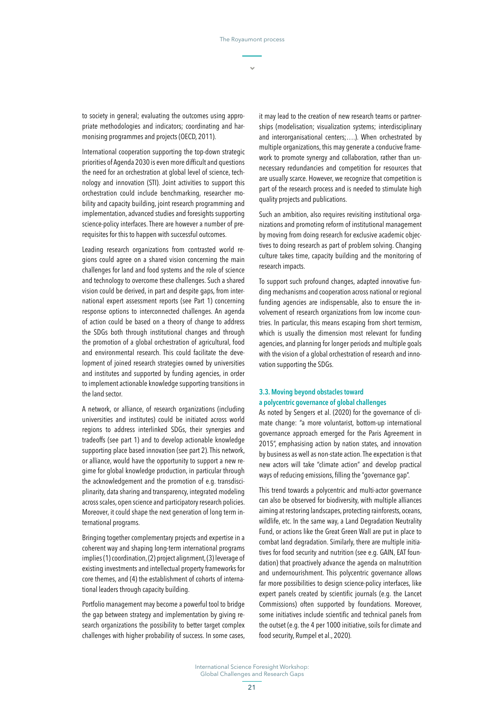to society in general; evaluating the outcomes using appropriate methodologies and indicators; coordinating and harmonising programmes and projects (OECD, 2011).

International cooperation supporting the top-down strategic priorities of Agenda 2030 is even more difficult and questions the need for an orchestration at global level of science, technology and innovation (STI). Joint activities to support this orchestration could include benchmarking, researcher mobility and capacity building, joint research programming and implementation, advanced studies and foresights supporting science-policy interfaces. There are however a number of prerequisites for this to happen with successful outcomes.

Leading research organizations from contrasted world regions could agree on a shared vision concerning the main challenges for land and food systems and the role of science and technology to overcome these challenges. Such a shared vision could be derived, in part and despite gaps, from international expert assessment reports (see Part 1) concerning response options to interconnected challenges. An agenda of action could be based on a theory of change to address the SDGs both through institutional changes and through the promotion of a global orchestration of agricultural, food and environmental research. This could facilitate the development of joined research strategies owned by universities and institutes and supported by funding agencies, in order to implement actionable knowledge supporting transitions in the land sector.

A network, or alliance, of research organizations (including universities and institutes) could be initiated across world regions to address interlinked SDGs, their synergies and tradeoffs (see part 1) and to develop actionable knowledge supporting place based innovation (see part 2). This network, or alliance, would have the opportunity to support a new regime for global knowledge production, in particular through the acknowledgement and the promotion of e.g. transdisciplinarity, data sharing and transparency, integrated modeling across scales, open science and participatory research policies. Moreover, it could shape the next generation of long term international programs.

Bringing together complementary projects and expertise in a coherent way and shaping long-term international programs implies (1) coordination, (2) project alignment, (3) leverage of existing investments and intellectual property frameworks for core themes, and (4) the establishment of cohorts of international leaders through capacity building.

Portfolio management may become a powerful tool to bridge the gap between strategy and implementation by giving research organizations the possibility to better target complex challenges with higher probability of success. In some cases, it may lead to the creation of new research teams or partnerships (modelisation; visualization systems; interdisciplinary and interorganisational centers;….). When orchestrated by multiple organizations, this may generate a conducive framework to promote synergy and collaboration, rather than unnecessary redundancies and competition for resources that are usually scarce. However, we recognize that competition is part of the research process and is needed to stimulate high quality projects and publications.

Such an ambition, also requires revisiting institutional organizations and promoting reform of institutional management by moving from doing research for exclusive academic objectives to doing research as part of problem solving. Changing culture takes time, capacity building and the monitoring of research impacts.

To support such profound changes, adapted innovative funding mechanisms and cooperation across national or regional funding agencies are indispensable, also to ensure the involvement of research organizations from low income countries. In particular, this means escaping from short termism, which is usually the dimension most relevant for funding agencies, and planning for longer periods and multiple goals with the vision of a global orchestration of research and innovation supporting the SDGs.

### 3.3. Moving beyond obstacles toward a polycentric governance of global challenges

As noted by Sengers et al. (2020) for the governance of climate change: "a more voluntarist, bottom-up international governance approach emerged for the Paris Agreement in 2015", emphasising action by nation states, and innovation by business as well as non-state action. The expectation is that new actors will take "climate action" and develop practical ways of reducing emissions, filling the "governance gap".

This trend towards a polycentric and multi-actor governance can also be observed for biodiversity, with multiple alliances aiming at restoring landscapes, protecting rainforests, oceans, wildlife, etc. In the same way, a Land Degradation Neutrality Fund, or actions like the Great Green Wall are put in place to combat land degradation. Similarly, there are multiple initiatives for food security and nutrition (see e.g. GAIN, EAT foundation) that proactively advance the agenda on malnutrition and undernourishment. This polycentric governance allows far more possibilities to design science-policy interfaces, like expert panels created by scientific journals (e.g. the Lancet Commissions) often supported by foundations. Moreover, some initiatives include scientific and technical panels from the outset (e.g. the 4 per 1000 initiative, soils for climate and food security, Rumpel et al., 2020).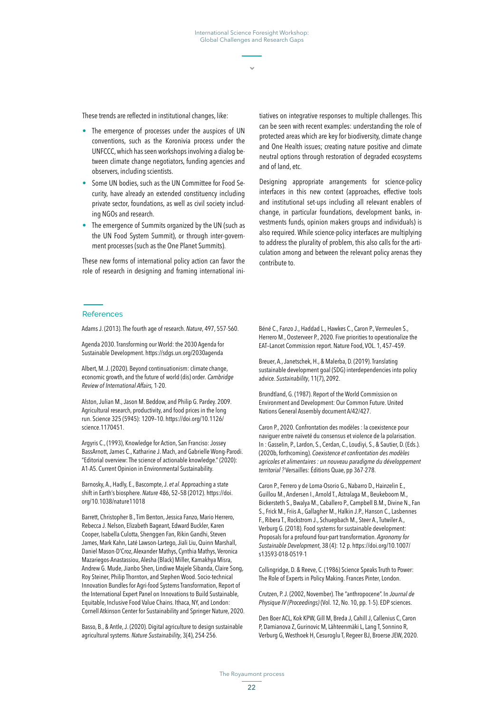These trends are reflected in institutional changes, like:

- **•** The emergence of processes under the auspices of UN conventions, such as the Koronivia process under the UNFCCC, which has seen workshops involving a dialog between climate change negotiators, funding agencies and observers, including scientists.
- **•** Some UN bodies, such as the UN Committee for Food Security, have already an extended constituency including private sector, foundations, as well as civil society including NGOs and research.
- **•** The emergence of Summits organized by the UN (such as the UN Food System Summit), or through inter-government processes (such as the One Planet Summits).

These new forms of international policy action can favor the role of research in designing and framing international ini-

tiatives on integrative responses to multiple challenges. This can be seen with recent examples: understanding the role of protected areas which are key for biodiversity, climate change and One Health issues; creating nature positive and climate neutral options through restoration of degraded ecosystems and of land, etc.

Designing appropriate arrangements for science-policy interfaces in this new context (approaches, effective tools and institutional set-ups including all relevant enablers of change, in particular foundations, development banks, investments funds, opinion makers groups and individuals) is also required. While science-policy interfaces are multiplying to address the plurality of problem, this also calls for the articulation among and between the relevant policy arenas they contribute to.

#### References

Adams J. (2013). The fourth age of research. *Nature*, 497, 557-560.

Agenda 2030. Transforming our World: the 2030 Agenda for Sustainable Development. <https://sdgs.un.org/2030agenda>

Albert, M. J. (2020). Beyond continuationism: climate change, economic growth, and the future of world (dis) order. *Cambridge Review of International Affairs,* 1-20.

Alston, Julian M., Jason M. Beddow, and Philip G. Pardey. 2009. Agricultural research, productivity, and food prices in the long run. Science 325 (5945): 1209–10. [https://doi.org/10.1126/](https://doi.org/10.1126/science.1170451) [science.1170451](https://doi.org/10.1126/science.1170451).

Argyris C., (1993), Knowledge for Action, San Franciso: Jossey BassArnott, James C., Katharine J. Mach, and Gabrielle Wong-Parodi. "Editorial overview: The science of actionable knowledge." (2020): A1-A5. Current Opinion in Environmental Sustainability.

Barnosky, A., Hadly, E., Bascompte, J. *et al.* Approaching a state shift in Earth's biosphere. *Nature* 486, 52–58 (2012). [https://doi.](https://doi.org/10.1038/nature11018) [org/10.1038/nature11018](https://doi.org/10.1038/nature11018)

Barrett, Christopher B., Tim Benton, Jessica Fanzo, Mario Herrero, Rebecca J. Nelson, Elizabeth Bageant, Edward Buckler, Karen Cooper, Isabella Culotta, Shenggen Fan, Rikin Gandhi, Steven James, Mark Kahn, Laté Lawson-Lartego, Jiali Liu, Quinn Marshall, Daniel Mason-D'Croz, Alexander Mathys, Cynthia Mathys, Veronica Mazariegos-Anastassiou, Alesha (Black) Miller, Kamakhya Misra, Andrew G. Mude, Jianbo Shen, Lindiwe Majele Sibanda, Claire Song, Roy Steiner, Philip Thornton, and Stephen Wood. Socio-technical Innovation Bundles for Agri-food Systems Transformation, Report of the International Expert Panel on Innovations to Build Sustainable, Equitable, Inclusive Food Value Chains. Ithaca, NY, and London: Cornell Atkinson Center for Sustainability and Springer Nature, 2020.

Basso, B., & Antle, J. (2020). Digital agriculture to design sustainable agricultural systems. *Nature Sustainability*, 3(4), 254-256.

Béné C., Fanzo J., Haddad L., Hawkes C., Caron P., Vermeulen S., Herrero M., Oosterveer P., 2020. Five priorities to operationalize the EAT–Lancet Commission report. Nature Food, VOL. 1, 457–459.

Breuer, A., Janetschek, H., & Malerba, D. (2019). Translating sustainable development goal (SDG) interdependencies into policy advice. *Sustainability*, 11(7), 2092.

Brundtland, G. (1987). Report of the World Commission on Environment and Development: Our Common Future. United Nations General Assembly document A/42/427.

Caron P., 2020. Confrontation des modèles : la coexistence pour naviguer entre naïveté du consensus et violence de la polarisation. In : Gasselin, P., Lardon, S., Cerdan, C., Loudiyi, S., & Sautier, D. (Eds.). (2020b, forthcoming). *Coexistence et confrontation des modèles agricoles et alimentaires : un nouveau paradigme du développement territorial ?* Versailles: Éditions Quae, pp 367-278.

Caron P., Ferrero y de Loma-Osorio G., Nabarro D., Hainzelin E., Guillou M., Andersen I., Arnold T., Astralaga M., Beukeboom M., Bickersteth S., Bwalya M., Caballero P., Campbell B.M., Divine N., Fan S., Frick M., Friis A., Gallagher M., Halkin J.P., Hanson C., Lasbennes F., Ribera T., Rockstrom J., Schuepbach M., Steer A., Tutwiler A., Verburg G. (2018). Food systems for sustainable development: Proposals for a profound four-part transformation. *Agronomy for Sustainable Development*, 38 (4): 12 p. [https://doi.org/10.1007/](https://doi.org/10.1007/s13593-018-0519-1) [s13593-018-0519-1](https://doi.org/10.1007/s13593-018-0519-1)

Collingridge, D. & Reeve, C. (1986) Science Speaks Truth to Power: The Role of Experts in Policy Making. Frances Pinter, London.

Crutzen, P. J. (2002, November). The "anthropocene". In *Journal de Physique IV (Proceedings)* (Vol. 12, No. 10, pp. 1-5). EDP sciences.

Den Boer ACL, Kok KPW, Gill M, Breda J, Cahill J, Callenius C, Caron P, Damianova Z, Gurinovic M, Lähteenmäki L, Lang T, Sonnino R, Verburg G, Westhoek H, Cesuroglu T, Regeer BJ, Broerse JEW, 2020.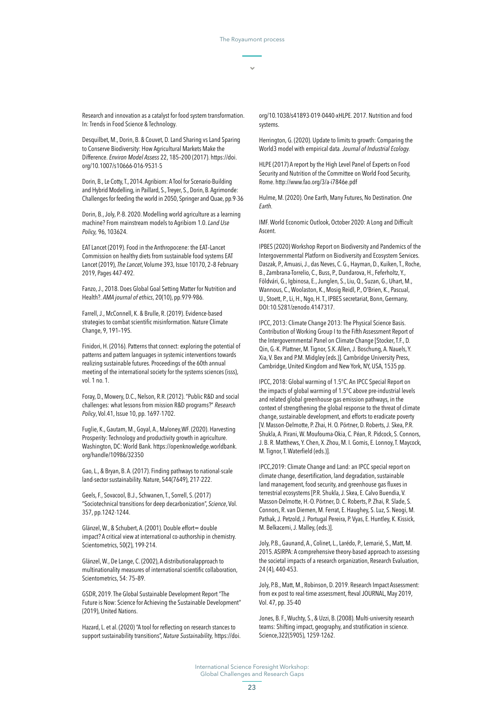Research and innovation as a catalyst for food system transformation. In: Trends in Food Science & Technology.

Desquilbet, M., Dorin, B. & Couvet, D. Land Sharing vs Land Sparing to Conserve Biodiversity: How Agricultural Markets Make the Difference. *Environ Model Assess* 22, 185–200 (2017). [https://doi.](https://doi.org/10.1007/s10666-016-9531-5) [org/10.1007/s10666-016-9531-5](https://doi.org/10.1007/s10666-016-9531-5)

Dorin, B., Le Cotty, T., 2014. Agribiom: A Tool for Scenario-Building and Hybrid Modelling, in Paillard, S., Treyer, S., Dorin, B. Agrimonde: Challenges for feeding the world in 2050, Springer and Quae, pp.9-36

Dorin, B., Joly, P.-B. 2020. Modelling world agriculture as a learning machine? From mainstream models to Agribiom 1.0. *Land Use Policy,* 96, 103624.

EAT Lancet (2019). Food in the Anthropocene: the EAT–Lancet Commission on healthy diets from sustainable food systems EAT Lancet (2019), *The Lancet*, [Volume 393, Issue 10170](https://www.sciencedirect.com/science/journal/01406736/393/10170), 2–8 February 2019, Pages 447-492.

Fanzo, J., 2018. Does Global Goal Setting Matter for Nutrition and Health?. *AMA journal of ethics*, 20(10), pp.979-986.

Farrell, J., McConnell, K. & Brulle, R. (2019). Evidence-based strategies to combat scientific misinformation. Nature Climate Change, 9, 191–195.

Finidori, H. (2016). Patterns that connect: exploring the potential of patterns and pattern languages in systemic interventions towards realizing sustainable futures. [Proceedings of the 60th annual](https://journals.isss.org/index.php/proceedings60th/issue/view/16)  [meeting of the international society for the systems sciences \(isss\),](https://journals.isss.org/index.php/proceedings60th/issue/view/16) vol. 1 no. 1.

Foray, D., Mowery, D.C., Nelson, R.R. (2012). "Public R&D and social challenges: what lessons from mission R&D programs?" *Research Policy*, Vol.41, Issue 10, pp. 1697-1702.

Fuglie, K., Gautam, M., Goyal, A., Maloney,WF. (2020). Harvesting Prosperity: Technology and productivity growth in agriculture. Washington, DC: World Bank. https://openknowledge.worldbank. org/handle/10986/32350

Gao, L., & Bryan, B. A. (2017). Finding pathways to national-scale land-sector sustainability. Nature, 544(7649), 217-222.

Geels, F., Sovacool, B.J., Schwanen, T., Sorrell, S. (2017) "Sociotechnical transitions for deep decarbonization", *Science*, Vol. 357, pp.1242-1244.

Glänzel, W., & Schubert, A. (2001). Double effort= double impact? A critical view at international co-authorship in chemistry. Scientometrics, 50(2), 199-214.

Glänzel, W., De Lange, C. (2002), A distributionalapproach to multinationality measures of international scientific collaboration, Scientometrics, 54: 75–89.

GSDR, 2019. The Global Sustainable Development Report "The Future is Now: Science for Achieving the Sustainable Development" (2019), United Nations.

Hazard, L. et al. (2020) "A tool for reflecting on research stances to support sustainability transitions", *Nature Sustainability,* https://doi. org/10.1038/s41893-019-0440-xHLPE. 2017. Nutrition and food systems.

Herrington, G. (2020). Update to limits to growth: Comparing the World3 model with empirical data. *Journal of Industrial Ecology.*

HLPE (2017) A report by the High Level Panel of Experts on Food Security and Nutrition of the Committee on World Food Security, Rome.<http://www.fao.org/3/a-i7846e.pdf>

Hulme, M. (2020). One Earth, Many Futures, No Destination. *One Earth.*

IMF. World Economic Outlook, October 2020: A Long and Difficult Ascent.

IPBES (2020) Workshop Report on Biodiversity and Pandemics of the Intergovernmental Platform on Biodiversity and Ecosystem Services. Daszak, P., Amuasi, J., das Neves, C. G., Hayman, D., Kuiken, T., Roche, B., Zambrana-Torrelio, C., Buss, P., Dundarova, H., Feferholtz, Y., Földvári, G., Igbinosa, E., Junglen, S., Liu, Q., Suzan, G., Uhart, M., Wannous, C., Woolaston, K., Mosig Reidl, P., O'Brien, K., Pascual, U., Stoett, P., Li, H., Ngo, H. T., IPBES secretariat, Bonn, Germany, DOI:10.5281/zenodo.4147317.

IPCC, 2013: Climate Change 2013: The Physical Science Basis. Contribution of Working Group I to the Fifth Assessment Report of the Intergovernmental Panel on Climate Change [Stocker, T.F., D. Qin, G.-K. Plattner, M. Tignor, S.K. Allen, J. Boschung, A. Nauels, Y. Xia, V. Bex and P.M. Midgley (eds.)]. Cambridge University Press, Cambridge, United Kingdom and New York, NY, USA, 1535 pp.

IPCC, 2018: Global warming of 1.5°C. An IPCC Special Report on the impacts of global warming of 1.5°C above pre-industrial levels and related global greenhouse gas emission pathways, in the context of strengthening the global response to the threat of climate change, sustainable development, and efforts to eradicate poverty [V. Masson-Delmotte, P. Zhai, H. O. Pörtner, D. Roberts, J. Skea, P.R. Shukla, A. Pirani, W. Moufouma-Okia, C. Péan, R. Pidcock, S. Connors, J. B. R. Matthews, Y. Chen, X. Zhou, M. I. Gomis, E. Lonnoy, T. Maycock, M. Tignor, T. Waterfield (eds.)].

IPCC,2019: Climate Change and Land: an IPCC special report on climate change, desertification, land degradation, sustainable land management, food security, and greenhouse gas fluxes in terrestrial ecosystems [P.R. Shukla, J. Skea, E. Calvo Buendia, V. Masson-Delmotte, H.-O. Pörtner, D. C. Roberts, P. Zhai, R. Slade, S. Connors, R. van Diemen, M. Ferrat, E. Haughey, S. Luz, S. Neogi, M. Pathak, J. Petzold, J. Portugal Pereira, P. Vyas, E. Huntley, K. Kissick, M. Belkacemi, J. Malley, (eds.)].

Joly, P.B., Gaunand, A., Colinet, L., Larédo, P., Lemarié, S., Matt, M. 2015. ASIRPA: A comprehensive theory-based approach to assessing the societal impacts of a research organization, Research Evaluation, 24 (4), 440-453.

Joly, P.B., Matt, M., Robinson, D. 2019. Research Impact Assessment: from ex post to real-time assessment, fteval JOURNAL, May 2019, Vol. 47, pp. 35-40

Jones, B. F., Wuchty, S., & Uzzi, B. (2008). Multi-university research teams: Shifting impact, geography, and stratification in science. Science,322(5905), 1259-1262.

International Science Foresight Workshop: Global Challenges and Research Gaps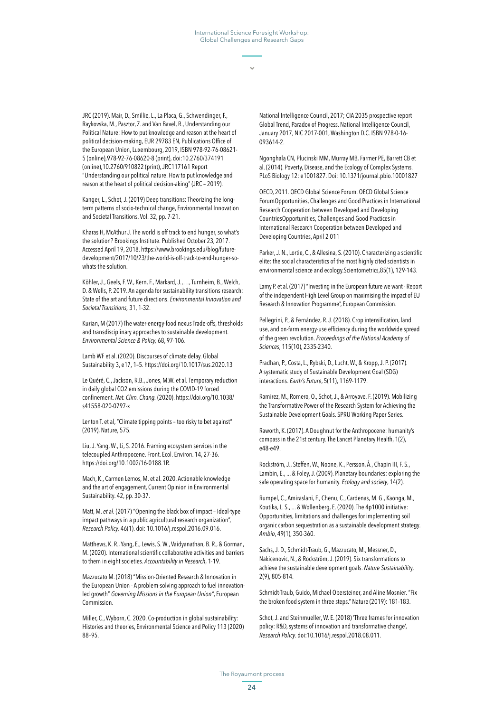JRC (2019). Mair, D., Smillie, L., La Placa, G., Schwendinger, F., Raykovska, M., Pasztor, Z. and Van Bavel, R., Understanding our Political Nature: How to put knowledge and reason at the heart of political decision-making, EUR 29783 EN, Publications Office of the European Union, Luxembourg, 2019, ISBN 978-92-76-08621- 5 (online),978-92-76-08620-8 (print), doi:10.2760/374191 (online),10.2760/910822 (print), JRC117161 Report "Understanding our political nature. How to put knowledge and reason at the heart of political decision-aking" (JRC – 2019).

Kanger, L., Schot, J. (2019) Deep transitions: Theorizing the longterm patterns of socio-technical change, Environmental Innovation and Societal Transitions, Vol. 32, pp. 7-21.

Kharas H, McAthur J. The world is off track to end hunger, so what's the solution? Brookings Institute. Published October 23, 2017. Accessed April 19, 2018. [https://www.brookings.edu/blog/future](https://www.brookings.edu/blog/future-development/2017/10/23/the-world-is-off-track-to-end-hunger-so-whats-the-solution)[development/2017/10/23/the-world-is-off-track-to-end-hunger-so](https://www.brookings.edu/blog/future-development/2017/10/23/the-world-is-off-track-to-end-hunger-so-whats-the-solution)[whats-the-solution](https://www.brookings.edu/blog/future-development/2017/10/23/the-world-is-off-track-to-end-hunger-so-whats-the-solution).

Köhler, J., Geels, F. W., Kern, F., Markard, J.,…, Turnheim, B., Welch, D. & Wells, P. 2019. An agenda for sustainability transitions research: State of the art and future directions. *Environmental Innovation and Societal Transitions,* 31, 1-32.

Kurian, M (2017) The water-energy-food nexus Trade-offs, thresholds and transdisciplinary approaches to sustainable development. *Environmental Science & Policy,* 68, 97-106.

Lamb WF et al. (2020). Discourses of climate delay. Global Sustainability 3, e17, 1–5. <https://doi.org/10.1017/sus.2020.13>

Le Quéré, C., Jackson, R.B., Jones, M.W. et al. Temporary reduction in daily global CO2 emissions during the COVID-19 forced confinement. *Nat. Clim. Chang.* (2020). [https://doi.org/10.1038/](https://doi.org/10.1038/s41558-020-0797-x) [s41558-020-0797-x](https://doi.org/10.1038/s41558-020-0797-x)

Lenton T. et al, "Climate tipping points – too risky to bet against" (2019), Nature, 575.

Liu, J. Yang, W., Li, S. 2016. Framing ecosystem services in the telecoupled Anthropocene. Front. Ecol. Environ. 14, 27-36. https://doi.org/10.1002/16-0188.1R.

Mach, K., Carmen Lemos, M. et al. 2020. Actionable knowledge and the art of engagement, Current Opinion in Environmental Sustainability. 42, pp. 30-37.

Matt, M. *et al.* (2017) "Opening the black box of impact – Ideal-type impact pathways in a public agricultural research organization", *Research Policy,* 46(1). doi: 10.1016/j.respol.2016.09.016.

Matthews, K. R., Yang, E., Lewis, S. W., Vaidyanathan, B. R., & Gorman, M. (2020). International scientific collaborative activities and barriers to them in eight societies. *Accountability in Research*, 1-19.

Mazzucato M. (2018) "Mission-Oriented Research & Innovation in the European Union - A problem-solving approach to fuel innovationled growth" *Governing Missions in the European Union"*, European Commission.

Miller, C., Wyborn, C. 2020. Co-production in global sustainability: Histories and theories, Environmental Science and Policy 113 (2020) 88–95.

National Intelligence Council, 2017; CIA 2035 prospective report Global Trend, Paradox of Progress. National Intelligence Council, January 2017, NIC 2017-001, Washington D.C. ISBN 978-0-16- 093614-2.

Ngonghala CN, Plucinski MM, Murray MB, Farmer PE, Barrett CB et al. (2014). Poverty, Disease, and the Ecology of Complex Systems. PLoS Biology 12: e1001827. Doi: 10.1371/journal.pbio.10001827

OECD, 2011. OECD Global Science Forum. OECD Global Science ForumOpportunities, Challenges and Good Practices in International Research Cooperation between Developed and Developing CountriesOpportunities, Challenges and Good Practices in International Research Cooperation between Developed and Developing Countries, April 2 011

Parker, J. N., Lortie, C., & Allesina, S. (2010). Characterizing a scientific elite: the social characteristics of the most highly cited scientists in environmental science and ecology.Scientometrics,85(1), 129-143.

Lamy P. et al. (2017) "Investing in the European future we want - Report of the independent High Level Group on maximising the impact of EU Research & Innovation Programme", European Commission.

Pellegrini, P., & Fernández, R. J. (2018). Crop intensification, land use, and on-farm energy-use efficiency during the worldwide spread of the green revolution. *Proceedings of the National Academy of Sciences*, 115(10), 2335-2340.

Pradhan, P., Costa, L., Rybski, D., Lucht, W., & Kropp, J. P. (2017). A systematic study of Sustainable Development Goal (SDG) interactions. *Earth's Future*, 5(11), 1169-1179.

Ramirez, M., Romero, O., Schot, J., & Arroyave, F. (2019). Mobilizing the Transformative Power of the Research System for Achieving the Sustainable Development Goals. SPRU Working Paper Series.

Raworth, K. (2017). A Doughnut for the Anthropocene: humanity's compass in the 21st century. The Lancet Planetary Health, 1(2), e48-e49.

Rockström, J., Steffen, W., Noone, K., Persson, Å., Chapin III, F. S., Lambin, E., ... & Foley, J. (2009). Planetary boundaries: exploring the safe operating space for humanity. *Ecology and society*, 14(2).

Rumpel, C., Amiraslani, F., Chenu, C., Cardenas, M. G., Kaonga, M., Koutika, L. S., ... & Wollenberg, E. (2020). The 4p1000 initiative: Opportunities, limitations and challenges for implementing soil organic carbon sequestration as a sustainable development strategy. *Ambio*, 49(1), 350-360.

Sachs, J. D., Schmidt-Traub, G., Mazzucato, M., Messner, D., Nakicenovic, N., & Rockström, J. (2019). Six transformations to achieve the sustainable development goals. *Nature Sustainabilit*y, 2(9), 805-814.

Schmidt-Traub, Guido, Michael Obersteiner, and Aline Mosnier. "Fix the broken food system in three steps." Nature (2019): 181-183.

Schot, J. and Steinmueller, W. E. (2018) 'Three frames for innovation policy: R&D, systems of innovation and transformative change', *Research Policy*. doi:10.1016/j.respol.2018.08.011.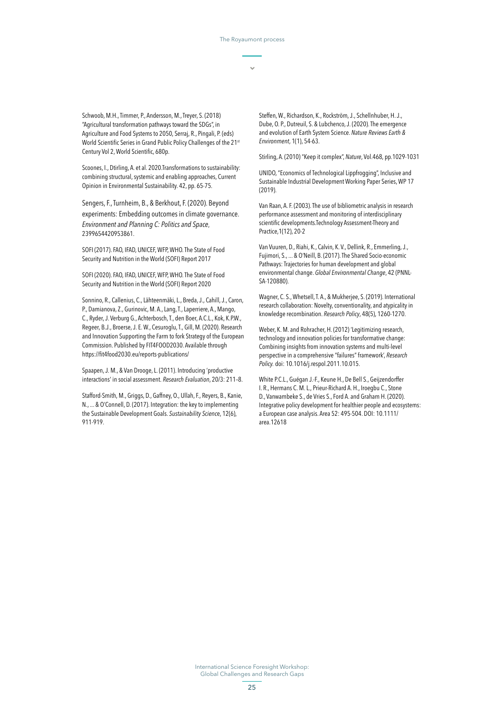Schwoob, M.H., Timmer, P., Andersson, M., Treyer, S. (2018) "Agricultural transformation pathways toward the SDGs", in Agriculture and Food Systems to 2050, Serraj, R., Pingali, P. (eds) World Scientific Series in Grand Public Policy Challenges of the 21<sup>st</sup> Century Vol 2, World Scientific, 680p.

Scoones, I., Dtirling, A. et al. 2020.Transformations to sustainability: combining structural, systemic and enabling approaches, Current Opinion in Environmental Sustainability. 42, pp. 65-75.

Sengers, F., Turnheim, B., & Berkhout, F. (2020). Beyond experiments: Embedding outcomes in climate governance. *Environment and Planning C: Politics and Space*, 2399654420953861.

SOFI (2017). FAO, IFAD, UNICEF, WFP, WHO. The State of Food Security and Nutrition in the World (SOFI) Report 2017

SOFI (2020). FAO, IFAD, UNICEF, WFP, WHO. The State of Food Security and Nutrition in the World (SOFI) Report 2020

Sonnino, R., Callenius, C., Lähteenmäki, L., Breda, J., Cahill, J., Caron, P., Damianova, Z., Gurinovic, M. A., Lang, T., Laperriere, A., Mango, C., Ryder, J. Verburg G., Achterbosch, T., den Boer, A.C.L., Kok, K.P.W., Regeer, B.J., Broerse, J. E. W., Cesuroglu, T., Gill, M. (2020). Research and Innovation Supporting the Farm to fork Strategy of the European Commission. Published by FIT4FOOD2030. Available through <https://fit4food2030.eu/reports-publications/>

Spaapen, J. M., & Van Drooge, L. (2011). Introducing 'productive interactions' in social assessment. *Research Evaluation*, 20/3: 211–8.

Stafford-Smith, M., Griggs, D., Gaffney, O., Ullah, F., Reyers, B., Kanie, N., ... & O'Connell, D. (2017). Integration: the key to implementing the Sustainable Development Goals. *Sustainability Scienc*e, 12(6), 911-919.

Steffen, W., Richardson, K., Rockström, J., Schellnhuber, H. J., Dube, O. P., Dutreuil, S. & Lubchenco, J. (2020). The emergence and evolution of Earth System Science. *Nature Reviews Earth & Environment*, 1(1), 54-63.

Stirling, A. (2010) "Keep it complex", *Nature*, Vol.468, pp.1029-1031

UNIDO, "Economics of Technological Lippfrogging", Inclusive and Sustainable Industrial Development Working Paper Series, WP 17 (2019).

Van Raan, A. F. (2003). The use of bibliometric analysis in research performance assessment and monitoring of interdisciplinary scientific developments.Technology Assessment-Theory and Practice,1(12), 20-2

Van Vuuren, D., Riahi, K., Calvin, K. V., Dellink, R., Emmerling, J., Fujimori, S., ... & O'Neill, B. (2017). The Shared Socio-economic Pathways: Trajectories for human development and global environmental change. *Global Environmental Change*, 42 (PNNL-SA-120880).

Wagner, C. S., Whetsell, T. A., & Mukherjee, S. (2019). International research collaboration: Novelty, conventionality, and atypicality in knowledge recombination. *Research Policy*, 48(5), 1260-1270.

Weber, K. M. and Rohracher, H. (2012) 'Legitimizing research, technology and innovation policies for transformative change: Combining insights from innovation systems and multi-level perspective in a comprehensive "failures" framework', *Research Policy.* doi: 10.1016/j.respol.2011.10.015.

White P.C.L., Guégan J.-F., Keune H., De Bell S., Geijzendorffer I. R., Hermans C. M. L., Prieur-Richard A. H., Iroegbu C., Stone D., Vanwambeke S., de Vries S., Ford A. and Graham H. (2020). Integrative policy development for healthier people and ecosystems: a European case analysis. Area 52: 495-504. DOI: 10.1111/ area.12618